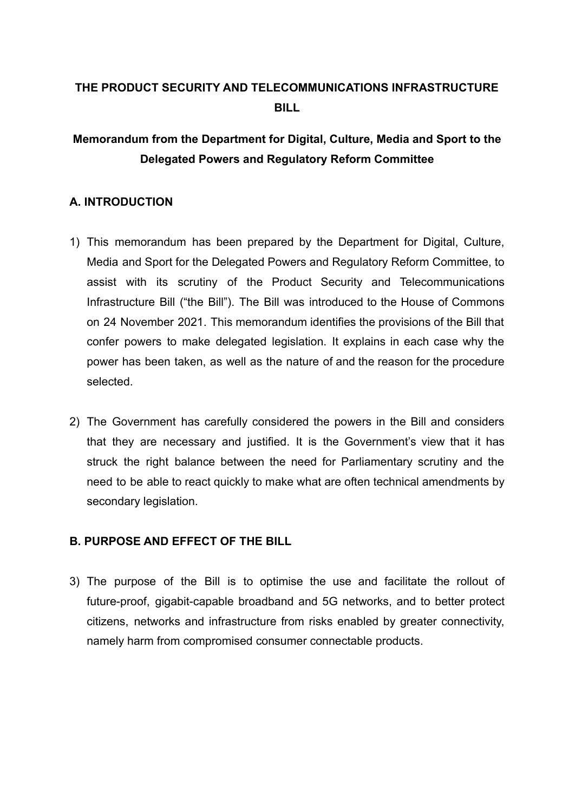# **THE PRODUCT SECURITY AND TELECOMMUNICATIONS INFRASTRUCTURE BILL**

# **Memorandum from the Department for Digital, Culture, Media and Sport to the Delegated Powers and Regulatory Reform Committee**

## **A. INTRODUCTION**

- 1) This memorandum has been prepared by the Department for Digital, Culture, Media and Sport for the Delegated Powers and Regulatory Reform Committee, to assist with its scrutiny of the Product Security and Telecommunications Infrastructure Bill ("the Bill"). The Bill was introduced to the House of Commons on 24 November 2021. This memorandum identifies the provisions of the Bill that confer powers to make delegated legislation. It explains in each case why the power has been taken, as well as the nature of and the reason for the procedure selected.
- 2) The Government has carefully considered the powers in the Bill and considers that they are necessary and justified. It is the Government's view that it has struck the right balance between the need for Parliamentary scrutiny and the need to be able to react quickly to make what are often technical amendments by secondary legislation.

## **B. PURPOSE AND EFFECT OF THE BILL**

3) The purpose of the Bill is to optimise the use and facilitate the rollout of future-proof, gigabit-capable broadband and 5G networks, and to better protect citizens, networks and infrastructure from risks enabled by greater connectivity, namely harm from compromised consumer connectable products.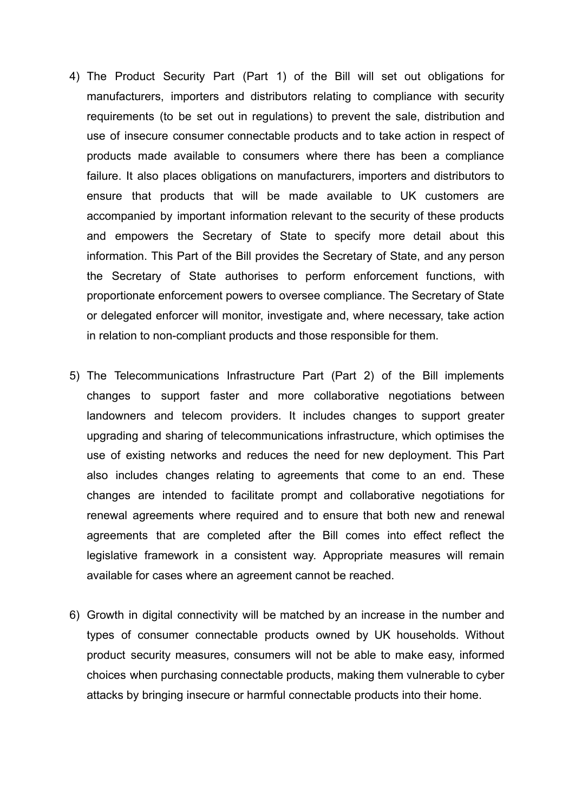- 4) The Product Security Part (Part 1) of the Bill will set out obligations for manufacturers, importers and distributors relating to compliance with security requirements (to be set out in regulations) to prevent the sale, distribution and use of insecure consumer connectable products and to take action in respect of products made available to consumers where there has been a compliance failure. It also places obligations on manufacturers, importers and distributors to ensure that products that will be made available to UK customers are accompanied by important information relevant to the security of these products and empowers the Secretary of State to specify more detail about this information. This Part of the Bill provides the Secretary of State, and any person the Secretary of State authorises to perform enforcement functions, with proportionate enforcement powers to oversee compliance. The Secretary of State or delegated enforcer will monitor, investigate and, where necessary, take action in relation to non-compliant products and those responsible for them.
- 5) The Telecommunications Infrastructure Part (Part 2) of the Bill implements changes to support faster and more collaborative negotiations between landowners and telecom providers. It includes changes to support greater upgrading and sharing of telecommunications infrastructure, which optimises the use of existing networks and reduces the need for new deployment. This Part also includes changes relating to agreements that come to an end. These changes are intended to facilitate prompt and collaborative negotiations for renewal agreements where required and to ensure that both new and renewal agreements that are completed after the Bill comes into effect reflect the legislative framework in a consistent way. Appropriate measures will remain available for cases where an agreement cannot be reached.
- 6) Growth in digital connectivity will be matched by an increase in the number and types of consumer connectable products owned by UK households. Without product security measures, consumers will not be able to make easy, informed choices when purchasing connectable products, making them vulnerable to cyber attacks by bringing insecure or harmful connectable products into their home.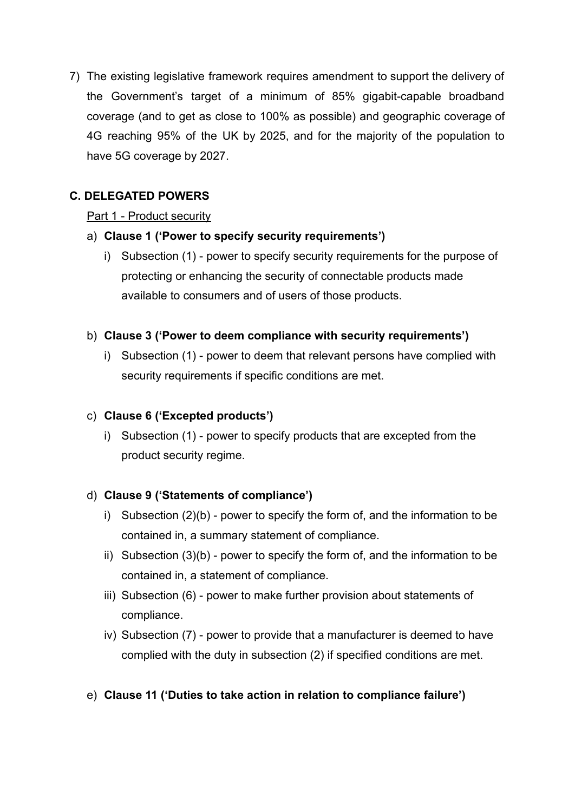7) The existing legislative framework requires amendment to support the delivery of the Government's target of a minimum of 85% gigabit-capable broadband coverage (and to get as close to 100% as possible) and geographic coverage of 4G reaching 95% of the UK by 2025, and for the majority of the population to have 5G coverage by 2027.

# **C. DELEGATED POWERS**

## Part 1 - Product security

## a) **Clause 1 ('Power to specify security requirements')**

i) Subsection (1) - power to specify security requirements for the purpose of protecting or enhancing the security of connectable products made available to consumers and of users of those products.

## b) **Clause 3 ('Power to deem compliance with security requirements')**

i) Subsection (1) - power to deem that relevant persons have complied with security requirements if specific conditions are met.

# c) **Clause 6 ('Excepted products')**

i) Subsection (1) - power to specify products that are excepted from the product security regime.

# d) **Clause 9 ('Statements of compliance')**

- i) Subsection (2)(b) power to specify the form of, and the information to be contained in, a summary statement of compliance.
- ii) Subsection (3)(b) power to specify the form of, and the information to be contained in, a statement of compliance.
- iii) Subsection (6) power to make further provision about statements of compliance.
- iv) Subsection (7) power to provide that a manufacturer is deemed to have complied with the duty in subsection (2) if specified conditions are met.

# e) **Clause 11 ('Duties to take action in relation to compliance failure')**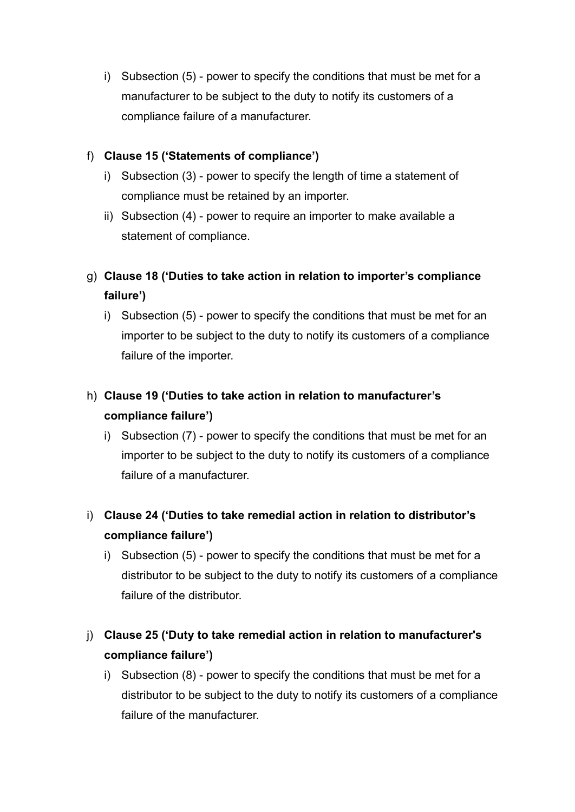i) Subsection (5) - power to specify the conditions that must be met for a manufacturer to be subject to the duty to notify its customers of a compliance failure of a manufacturer.

# f) **Clause 15 ('Statements of compliance')**

- i) Subsection (3) power to specify the length of time a statement of compliance must be retained by an importer.
- ii) Subsection (4) power to require an importer to make available a statement of compliance.

# g) **Clause 18 ('Duties to take action in relation to importer's compliance failure')**

i) Subsection (5) - power to specify the conditions that must be met for an importer to be subject to the duty to notify its customers of a compliance failure of the importer.

# h) **Clause 19 ('Duties to take action in relation to manufacturer's compliance failure')**

i) Subsection (7) - power to specify the conditions that must be met for an importer to be subject to the duty to notify its customers of a compliance failure of a manufacturer.

# i) **Clause 24 ('Duties to take remedial action in relation to distributor's compliance failure')**

i) Subsection (5) - power to specify the conditions that must be met for a distributor to be subject to the duty to notify its customers of a compliance failure of the distributor.

# j) **Clause 25 ('Duty to take remedial action in relation to manufacturer's compliance failure')**

i) Subsection (8) - power to specify the conditions that must be met for a distributor to be subject to the duty to notify its customers of a compliance failure of the manufacturer.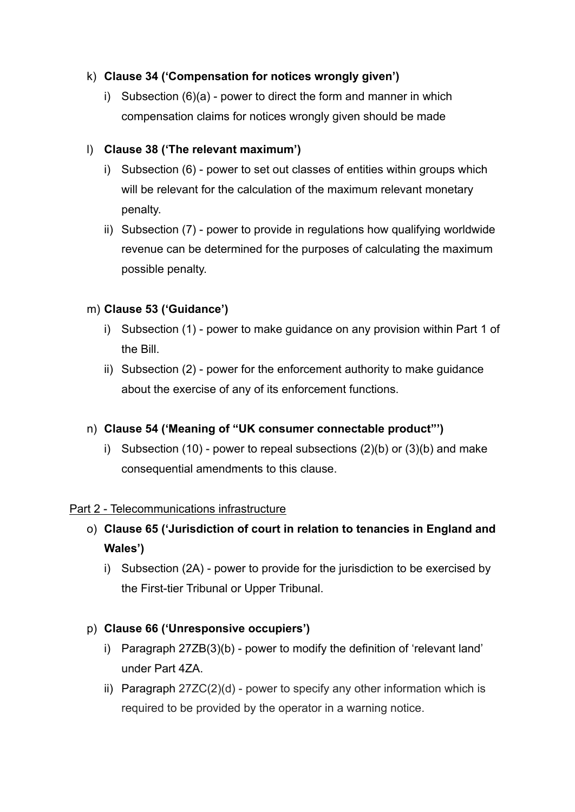## k) **Clause 34 ('Compensation for notices wrongly given')**

i) Subsection (6)(a) - power to direct the form and manner in which compensation claims for notices wrongly given should be made

## l) **Clause 38 ('The relevant maximum')**

- i) Subsection (6) power to set out classes of entities within groups which will be relevant for the calculation of the maximum relevant monetary penalty.
- ii) Subsection (7) power to provide in regulations how qualifying worldwide revenue can be determined for the purposes of calculating the maximum possible penalty.

## m) **Clause 53 ('Guidance')**

- i) Subsection (1) power to make guidance on any provision within Part 1 of the Bill.
- ii) Subsection (2) power for the enforcement authority to make guidance about the exercise of any of its enforcement functions.

# n) **Clause 54 ('Meaning of "UK consumer connectable product"')**

i) Subsection (10) - power to repeal subsections (2)(b) or (3)(b) and make consequential amendments to this clause.

## Part 2 - Telecommunications infrastructure

- o) **Clause 65 ('Jurisdiction of court in relation to tenancies in England and Wales')**
	- i) Subsection (2A) power to provide for the jurisdiction to be exercised by the First-tier Tribunal or Upper Tribunal.

# p) **Clause 66 ('Unresponsive occupiers')**

- i) Paragraph 27ZB(3)(b) power to modify the definition of 'relevant land' under Part 4ZA.
- ii) Paragraph 27ZC(2)(d) power to specify any other information which is required to be provided by the operator in a warning notice.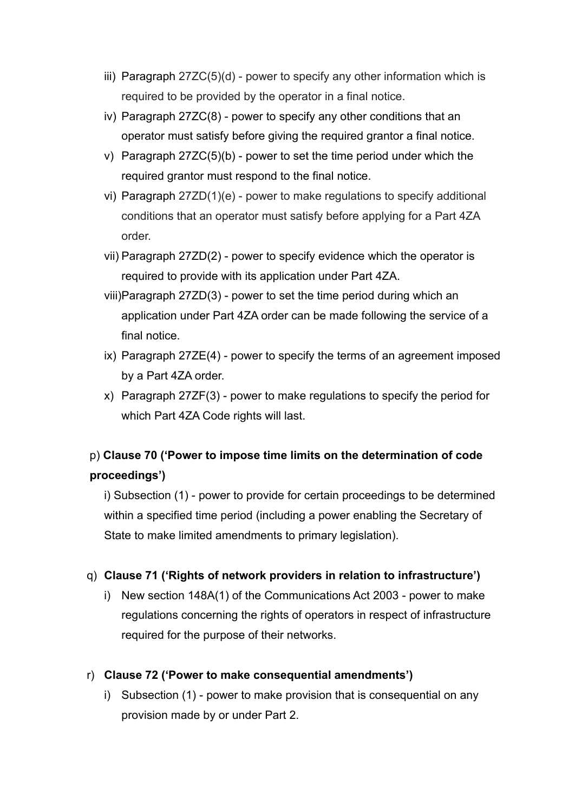- iii) Paragraph 27ZC(5)(d) power to specify any other information which is required to be provided by the operator in a final notice.
- iv) Paragraph 27ZC(8) power to specify any other conditions that an operator must satisfy before giving the required grantor a final notice.
- v) Paragraph 27ZC(5)(b) power to set the time period under which the required grantor must respond to the final notice.
- vi) Paragraph 27ZD(1)(e) power to make regulations to specify additional conditions that an operator must satisfy before applying for a Part 4ZA order.
- vii) Paragraph 27ZD(2) power to specify evidence which the operator is required to provide with its application under Part 4ZA.
- viii)Paragraph 27ZD(3) power to set the time period during which an application under Part 4ZA order can be made following the service of a final notice.
- ix) Paragraph 27ZE(4) power to specify the terms of an agreement imposed by a Part 4ZA order.
- x) Paragraph 27ZF(3) power to make regulations to specify the period for which Part 4ZA Code rights will last.

# p) **Clause 70 ('Power to impose time limits on the determination of code proceedings')**

i) Subsection (1) - power to provide for certain proceedings to be determined within a specified time period (including a power enabling the Secretary of State to make limited amendments to primary legislation).

## q) **Clause 71 ('Rights of network providers in relation to infrastructure')**

i) New section 148A(1) of the Communications Act 2003 - power to make regulations concerning the rights of operators in respect of infrastructure required for the purpose of their networks.

# r) **Clause 72 ('Power to make consequential amendments')**

i) Subsection (1) - power to make provision that is consequential on any provision made by or under Part 2.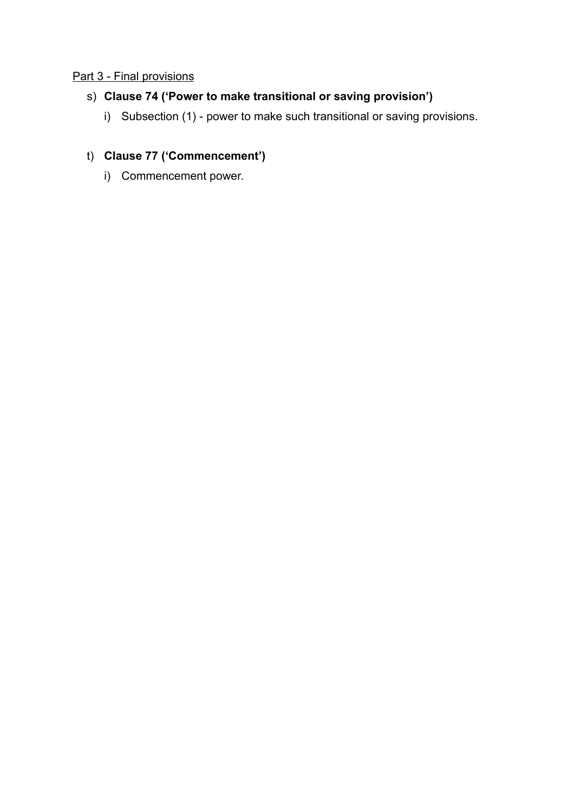## Part 3 - Final provisions

## s) **Clause 74 ('Power to make transitional or saving provision')**

i) Subsection (1) - power to make such transitional or saving provisions.

# t) **Clause 77 ('Commencement')**

i) Commencement power.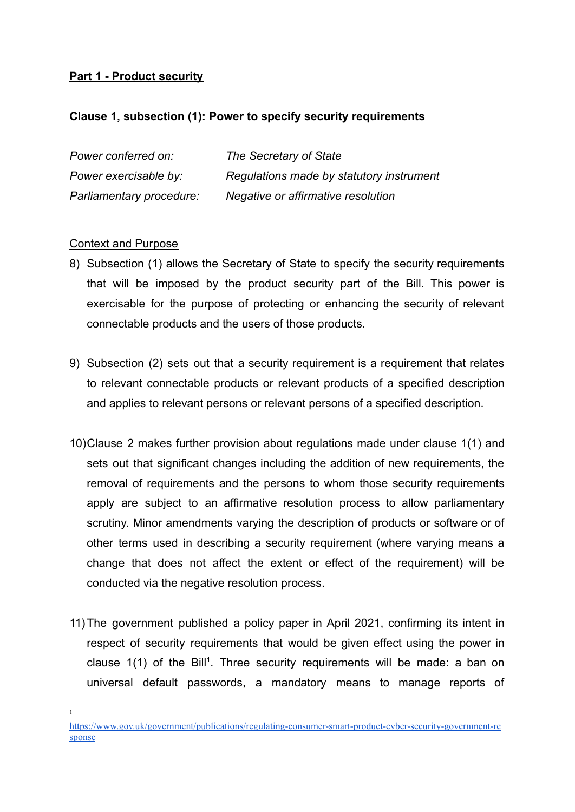## **Part 1 - Product security**

## **Clause 1, subsection (1): Power to specify security requirements**

| Power conferred on:      | The Secretary of State                   |
|--------------------------|------------------------------------------|
| Power exercisable by:    | Regulations made by statutory instrument |
| Parliamentary procedure: | Negative or affirmative resolution       |

## Context and Purpose

1

- 8) Subsection (1) allows the Secretary of State to specify the security requirements that will be imposed by the product security part of the Bill. This power is exercisable for the purpose of protecting or enhancing the security of relevant connectable products and the users of those products.
- 9) Subsection (2) sets out that a security requirement is a requirement that relates to relevant connectable products or relevant products of a specified description and applies to relevant persons or relevant persons of a specified description.
- 10)Clause 2 makes further provision about regulations made under clause 1(1) and sets out that significant changes including the addition of new requirements, the removal of requirements and the persons to whom those security requirements apply are subject to an affirmative resolution process to allow parliamentary scrutiny. Minor amendments varying the description of products or software or of other terms used in describing a security requirement (where varying means a change that does not affect the extent or effect of the requirement) will be conducted via the negative resolution process.
- 11)The government published a policy paper in April 2021, confirming its intent in respect of security requirements that would be given effect using the power in clause  $1(1)$  of the Bill<sup>1</sup>. Three security requirements will be made: a ban on universal default passwords, a mandatory means to manage reports of

[https://www.gov.uk/government/publications/regulating-consumer-smart-product-cyber-security-government-re](https://www.gov.uk/government/publications/regulating-consumer-smart-product-cyber-security-government-response) [sponse](https://www.gov.uk/government/publications/regulating-consumer-smart-product-cyber-security-government-response)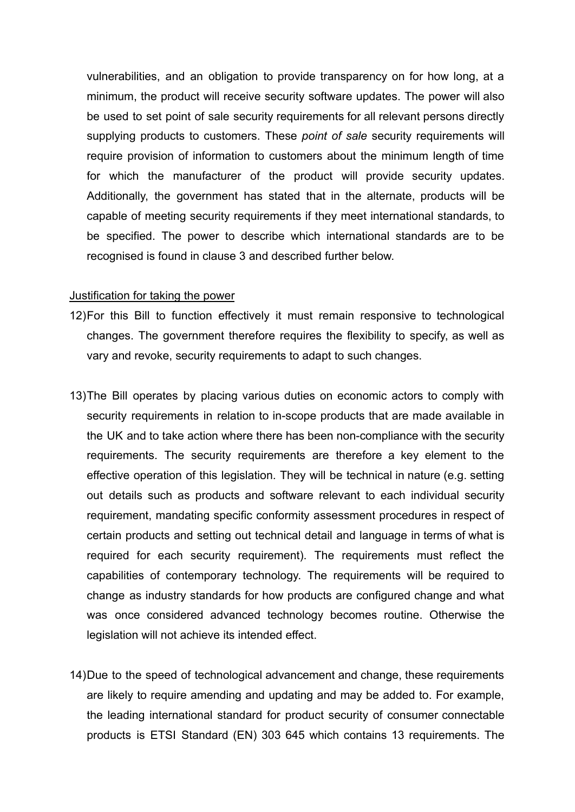vulnerabilities, and an obligation to provide transparency on for how long, at a minimum, the product will receive security software updates. The power will also be used to set point of sale security requirements for all relevant persons directly supplying products to customers. These *point of sale* security requirements will require provision of information to customers about the minimum length of time for which the manufacturer of the product will provide security updates. Additionally, the government has stated that in the alternate, products will be capable of meeting security requirements if they meet international standards, to be specified. The power to describe which international standards are to be recognised is found in clause 3 and described further below.

#### Justification for taking the power

- 12)For this Bill to function effectively it must remain responsive to technological changes. The government therefore requires the flexibility to specify, as well as vary and revoke, security requirements to adapt to such changes.
- 13)The Bill operates by placing various duties on economic actors to comply with security requirements in relation to in-scope products that are made available in the UK and to take action where there has been non-compliance with the security requirements. The security requirements are therefore a key element to the effective operation of this legislation. They will be technical in nature (e.g. setting out details such as products and software relevant to each individual security requirement, mandating specific conformity assessment procedures in respect of certain products and setting out technical detail and language in terms of what is required for each security requirement). The requirements must reflect the capabilities of contemporary technology. The requirements will be required to change as industry standards for how products are configured change and what was once considered advanced technology becomes routine. Otherwise the legislation will not achieve its intended effect.
- 14)Due to the speed of technological advancement and change, these requirements are likely to require amending and updating and may be added to. For example, the leading international standard for product security of consumer connectable products is ETSI Standard (EN) 303 645 which contains 13 requirements. The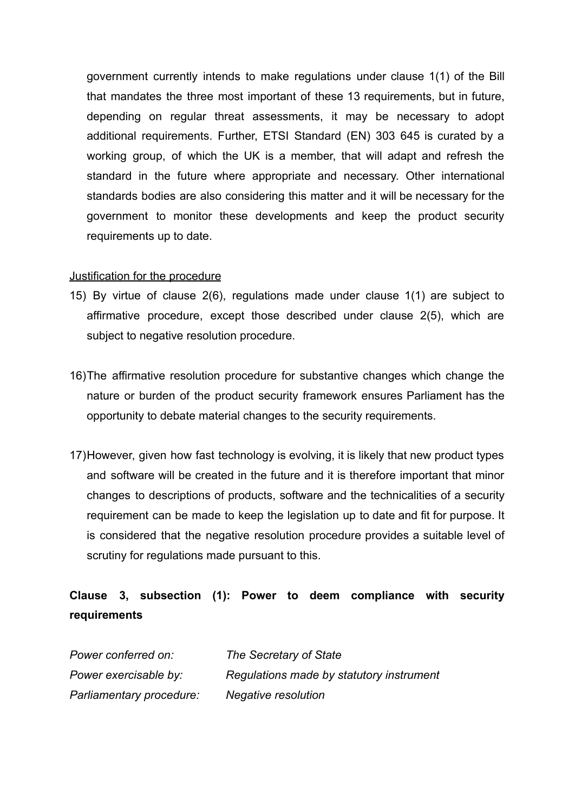government currently intends to make regulations under clause 1(1) of the Bill that mandates the three most important of these 13 requirements, but in future, depending on regular threat assessments, it may be necessary to adopt additional requirements. Further, ETSI Standard (EN) 303 645 is curated by a working group, of which the UK is a member, that will adapt and refresh the standard in the future where appropriate and necessary. Other international standards bodies are also considering this matter and it will be necessary for the government to monitor these developments and keep the product security requirements up to date.

### Justification for the procedure

- 15) By virtue of clause 2(6), regulations made under clause 1(1) are subject to affirmative procedure, except those described under clause 2(5), which are subject to negative resolution procedure.
- 16)The affirmative resolution procedure for substantive changes which change the nature or burden of the product security framework ensures Parliament has the opportunity to debate material changes to the security requirements.
- 17)However, given how fast technology is evolving, it is likely that new product types and software will be created in the future and it is therefore important that minor changes to descriptions of products, software and the technicalities of a security requirement can be made to keep the legislation up to date and fit for purpose. It is considered that the negative resolution procedure provides a suitable level of scrutiny for regulations made pursuant to this.

# **Clause 3, subsection (1): Power to deem compliance with security requirements**

| Power conferred on:      | The Secretary of State                   |
|--------------------------|------------------------------------------|
| Power exercisable by:    | Regulations made by statutory instrument |
| Parliamentary procedure: | Negative resolution                      |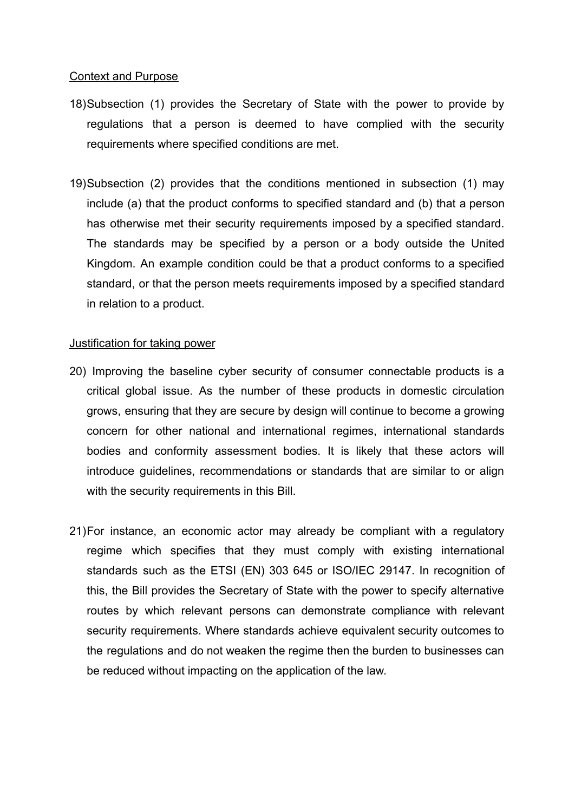### Context and Purpose

- 18)Subsection (1) provides the Secretary of State with the power to provide by regulations that a person is deemed to have complied with the security requirements where specified conditions are met.
- 19)Subsection (2) provides that the conditions mentioned in subsection (1) may include (a) that the product conforms to specified standard and (b) that a person has otherwise met their security requirements imposed by a specified standard. The standards may be specified by a person or a body outside the United Kingdom. An example condition could be that a product conforms to a specified standard, or that the person meets requirements imposed by a specified standard in relation to a product.

### Justification for taking power

- 20) Improving the baseline cyber security of consumer connectable products is a critical global issue. As the number of these products in domestic circulation grows, ensuring that they are secure by design will continue to become a growing concern for other national and international regimes, international standards bodies and conformity assessment bodies. It is likely that these actors will introduce guidelines, recommendations or standards that are similar to or align with the security requirements in this Bill.
- 21)For instance, an economic actor may already be compliant with a regulatory regime which specifies that they must comply with existing international standards such as the ETSI (EN) 303 645 or ISO/IEC 29147. In recognition of this, the Bill provides the Secretary of State with the power to specify alternative routes by which relevant persons can demonstrate compliance with relevant security requirements. Where standards achieve equivalent security outcomes to the regulations and do not weaken the regime then the burden to businesses can be reduced without impacting on the application of the law.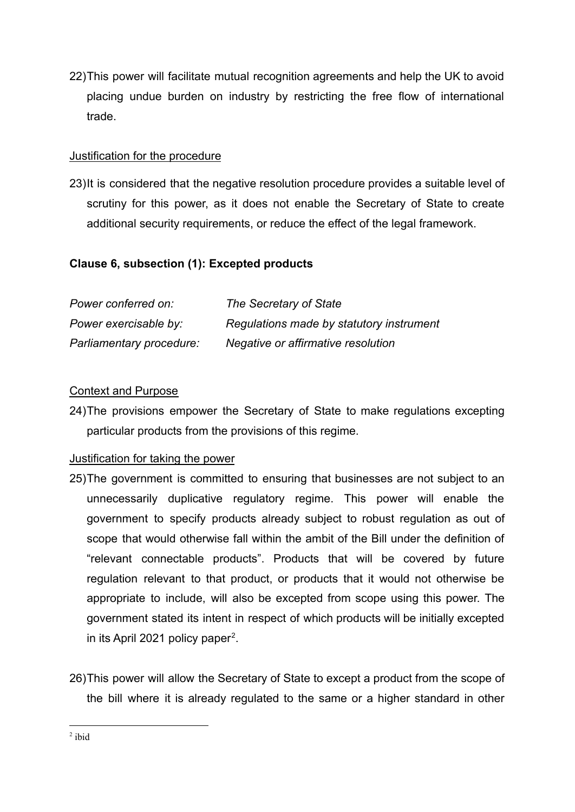22)This power will facilitate mutual recognition agreements and help the UK to avoid placing undue burden on industry by restricting the free flow of international trade.

## Justification for the procedure

23)It is considered that the negative resolution procedure provides a suitable level of scrutiny for this power, as it does not enable the Secretary of State to create additional security requirements, or reduce the effect of the legal framework.

## **Clause 6, subsection (1): Excepted products**

| Power conferred on:      | The Secretary of State                   |
|--------------------------|------------------------------------------|
| Power exercisable by:    | Regulations made by statutory instrument |
| Parliamentary procedure: | Negative or affirmative resolution       |

## Context and Purpose

24)The provisions empower the Secretary of State to make regulations excepting particular products from the provisions of this regime.

## Justification for taking the power

- 25)The government is committed to ensuring that businesses are not subject to an unnecessarily duplicative regulatory regime. This power will enable the government to specify products already subject to robust regulation as out of scope that would otherwise fall within the ambit of the Bill under the definition of "relevant connectable products". Products that will be covered by future regulation relevant to that product, or products that it would not otherwise be appropriate to include, will also be excepted from scope using this power. The government stated its intent in respect of which products will be initially excepted in its April 2021 policy paper<sup>2</sup>.
- 26)This power will allow the Secretary of State to except a product from the scope of the bill where it is already regulated to the same or a higher standard in other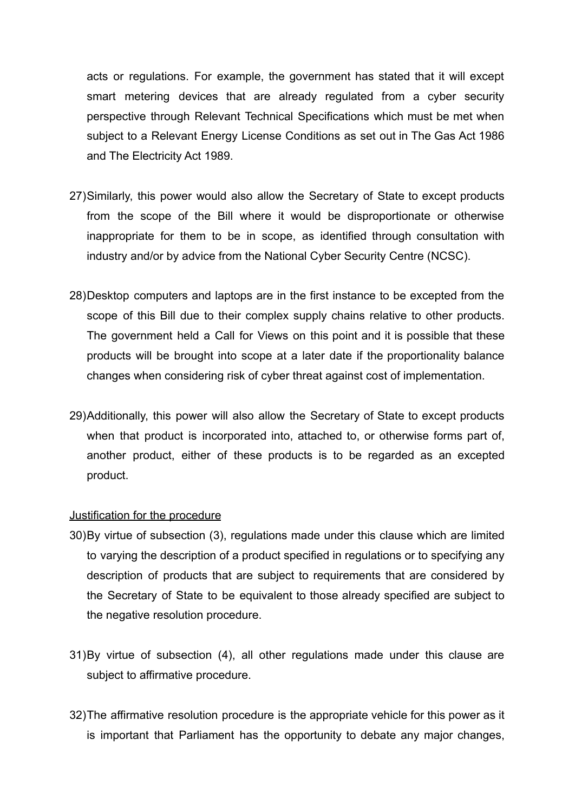acts or regulations. For example, the government has stated that it will except smart metering devices that are already regulated from a cyber security perspective through Relevant Technical Specifications which must be met when subject to a Relevant Energy License Conditions as set out in The Gas Act 1986 and The Electricity Act 1989.

- 27)Similarly, this power would also allow the Secretary of State to except products from the scope of the Bill where it would be disproportionate or otherwise inappropriate for them to be in scope, as identified through consultation with industry and/or by advice from the National Cyber Security Centre (NCSC).
- 28)Desktop computers and laptops are in the first instance to be excepted from the scope of this Bill due to their complex supply chains relative to other products. The government held a Call for Views on this point and it is possible that these products will be brought into scope at a later date if the proportionality balance changes when considering risk of cyber threat against cost of implementation.
- 29)Additionally, this power will also allow the Secretary of State to except products when that product is incorporated into, attached to, or otherwise forms part of, another product, either of these products is to be regarded as an excepted product.

#### Justification for the procedure

- 30)By virtue of subsection (3), regulations made under this clause which are limited to varying the description of a product specified in regulations or to specifying any description of products that are subject to requirements that are considered by the Secretary of State to be equivalent to those already specified are subject to the negative resolution procedure.
- 31)By virtue of subsection (4), all other regulations made under this clause are subject to affirmative procedure.
- 32)The affirmative resolution procedure is the appropriate vehicle for this power as it is important that Parliament has the opportunity to debate any major changes,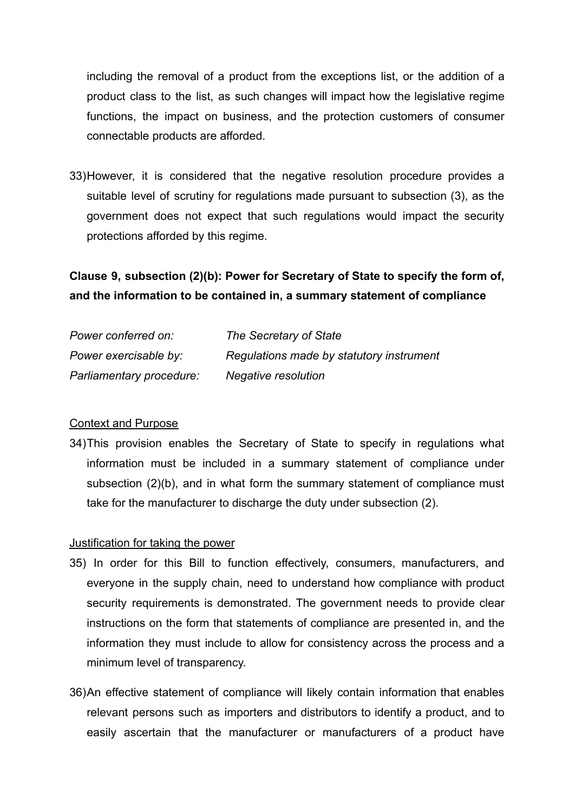including the removal of a product from the exceptions list, or the addition of a product class to the list, as such changes will impact how the legislative regime functions, the impact on business, and the protection customers of consumer connectable products are afforded.

33)However, it is considered that the negative resolution procedure provides a suitable level of scrutiny for regulations made pursuant to subsection (3), as the government does not expect that such regulations would impact the security protections afforded by this regime.

# **Clause 9, subsection (2)(b): Power for Secretary of State to specify the form of, and the information to be contained in, a summary statement of compliance**

| Power conferred on:      | The Secretary of State                   |
|--------------------------|------------------------------------------|
| Power exercisable by:    | Regulations made by statutory instrument |
| Parliamentary procedure: | Negative resolution                      |

## Context and Purpose

34)This provision enables the Secretary of State to specify in regulations what information must be included in a summary statement of compliance under subsection (2)(b), and in what form the summary statement of compliance must take for the manufacturer to discharge the duty under subsection (2).

## Justification for taking the power

- 35) In order for this Bill to function effectively, consumers, manufacturers, and everyone in the supply chain, need to understand how compliance with product security requirements is demonstrated. The government needs to provide clear instructions on the form that statements of compliance are presented in, and the information they must include to allow for consistency across the process and a minimum level of transparency.
- 36)An effective statement of compliance will likely contain information that enables relevant persons such as importers and distributors to identify a product, and to easily ascertain that the manufacturer or manufacturers of a product have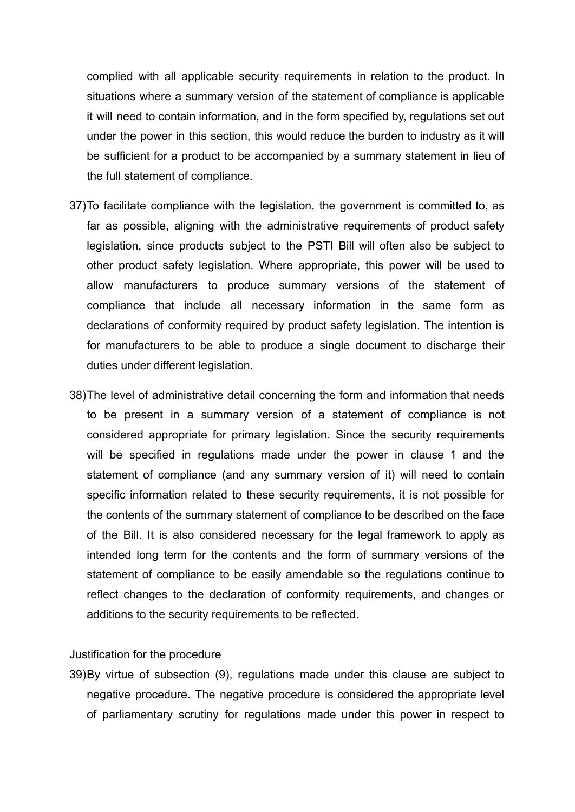complied with all applicable security requirements in relation to the product. In situations where a summary version of the statement of compliance is applicable it will need to contain information, and in the form specified by, regulations set out under the power in this section, this would reduce the burden to industry as it will be sufficient for a product to be accompanied by a summary statement in lieu of the full statement of compliance.

- 37)To facilitate compliance with the legislation, the government is committed to, as far as possible, aligning with the administrative requirements of product safety legislation, since products subject to the PSTI Bill will often also be subject to other product safety legislation. Where appropriate, this power will be used to allow manufacturers to produce summary versions of the statement of compliance that include all necessary information in the same form as declarations of conformity required by product safety legislation. The intention is for manufacturers to be able to produce a single document to discharge their duties under different legislation.
- 38)The level of administrative detail concerning the form and information that needs to be present in a summary version of a statement of compliance is not considered appropriate for primary legislation. Since the security requirements will be specified in regulations made under the power in clause 1 and the statement of compliance (and any summary version of it) will need to contain specific information related to these security requirements, it is not possible for the contents of the summary statement of compliance to be described on the face of the Bill. It is also considered necessary for the legal framework to apply as intended long term for the contents and the form of summary versions of the statement of compliance to be easily amendable so the regulations continue to reflect changes to the declaration of conformity requirements, and changes or additions to the security requirements to be reflected.

#### Justification for the procedure

39)By virtue of subsection (9), regulations made under this clause are subject to negative procedure. The negative procedure is considered the appropriate level of parliamentary scrutiny for regulations made under this power in respect to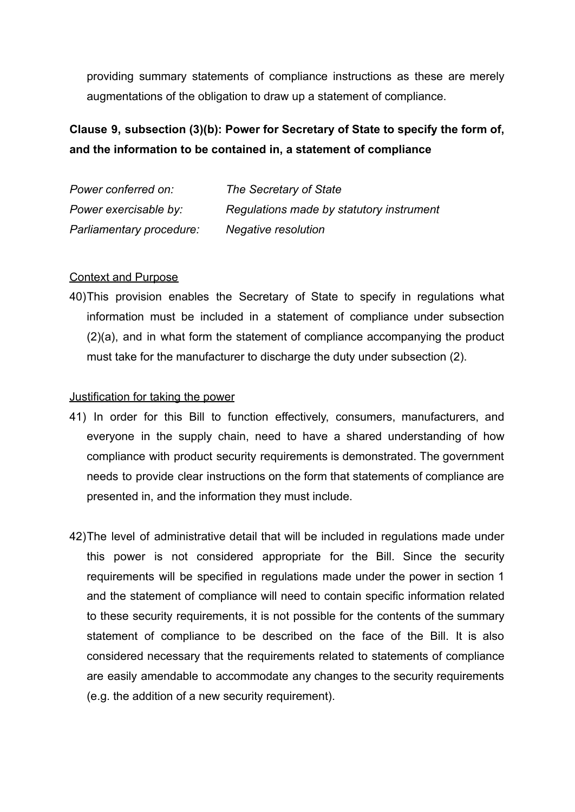providing summary statements of compliance instructions as these are merely augmentations of the obligation to draw up a statement of compliance.

# **Clause 9, subsection (3)(b): Power for Secretary of State to specify the form of, and the information to be contained in, a statement of compliance**

| Power conferred on:      | The Secretary of State                   |
|--------------------------|------------------------------------------|
| Power exercisable by:    | Regulations made by statutory instrument |
| Parliamentary procedure: | Negative resolution                      |

## Context and Purpose

40)This provision enables the Secretary of State to specify in regulations what information must be included in a statement of compliance under subsection (2)(a), and in what form the statement of compliance accompanying the product must take for the manufacturer to discharge the duty under subsection (2).

#### Justification for taking the power

- 41) In order for this Bill to function effectively, consumers, manufacturers, and everyone in the supply chain, need to have a shared understanding of how compliance with product security requirements is demonstrated. The government needs to provide clear instructions on the form that statements of compliance are presented in, and the information they must include.
- 42)The level of administrative detail that will be included in regulations made under this power is not considered appropriate for the Bill. Since the security requirements will be specified in regulations made under the power in section 1 and the statement of compliance will need to contain specific information related to these security requirements, it is not possible for the contents of the summary statement of compliance to be described on the face of the Bill. It is also considered necessary that the requirements related to statements of compliance are easily amendable to accommodate any changes to the security requirements (e.g. the addition of a new security requirement).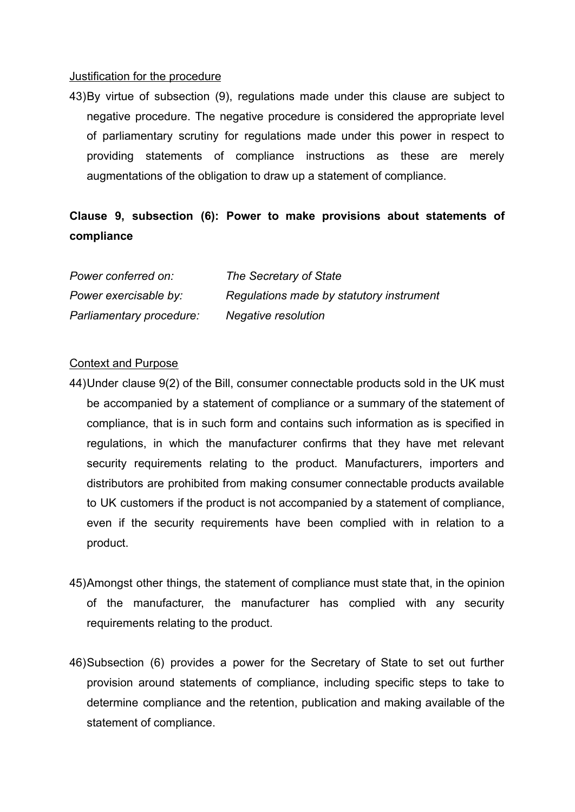#### Justification for the procedure

43)By virtue of subsection (9), regulations made under this clause are subject to negative procedure. The negative procedure is considered the appropriate level of parliamentary scrutiny for regulations made under this power in respect to providing statements of compliance instructions as these are merely augmentations of the obligation to draw up a statement of compliance.

# **Clause 9, subsection (6): Power to make provisions about statements of compliance**

| Power conferred on:      | The Secretary of State                   |
|--------------------------|------------------------------------------|
| Power exercisable by:    | Regulations made by statutory instrument |
| Parliamentary procedure: | Negative resolution                      |

#### Context and Purpose

- 44)Under clause 9(2) of the Bill, consumer connectable products sold in the UK must be accompanied by a statement of compliance or a summary of the statement of compliance, that is in such form and contains such information as is specified in regulations, in which the manufacturer confirms that they have met relevant security requirements relating to the product. Manufacturers, importers and distributors are prohibited from making consumer connectable products available to UK customers if the product is not accompanied by a statement of compliance, even if the security requirements have been complied with in relation to a product.
- 45)Amongst other things, the statement of compliance must state that, in the opinion of the manufacturer, the manufacturer has complied with any security requirements relating to the product.
- 46)Subsection (6) provides a power for the Secretary of State to set out further provision around statements of compliance, including specific steps to take to determine compliance and the retention, publication and making available of the statement of compliance.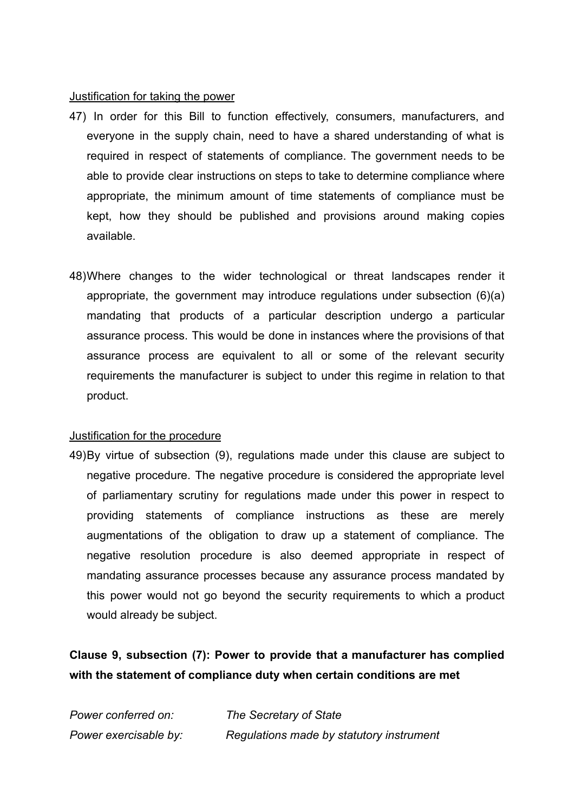#### Justification for taking the power

- 47) In order for this Bill to function effectively, consumers, manufacturers, and everyone in the supply chain, need to have a shared understanding of what is required in respect of statements of compliance. The government needs to be able to provide clear instructions on steps to take to determine compliance where appropriate, the minimum amount of time statements of compliance must be kept, how they should be published and provisions around making copies available.
- 48)Where changes to the wider technological or threat landscapes render it appropriate, the government may introduce regulations under subsection (6)(a) mandating that products of a particular description undergo a particular assurance process. This would be done in instances where the provisions of that assurance process are equivalent to all or some of the relevant security requirements the manufacturer is subject to under this regime in relation to that product.

#### Justification for the procedure

49)By virtue of subsection (9), regulations made under this clause are subject to negative procedure. The negative procedure is considered the appropriate level of parliamentary scrutiny for regulations made under this power in respect to providing statements of compliance instructions as these are merely augmentations of the obligation to draw up a statement of compliance. The negative resolution procedure is also deemed appropriate in respect of mandating assurance processes because any assurance process mandated by this power would not go beyond the security requirements to which a product would already be subject.

# **Clause 9, subsection (7): Power to provide that a manufacturer has complied with the statement of compliance duty when certain conditions are met**

| Power conferred on:   | The Secretary of State                   |
|-----------------------|------------------------------------------|
| Power exercisable by: | Regulations made by statutory instrument |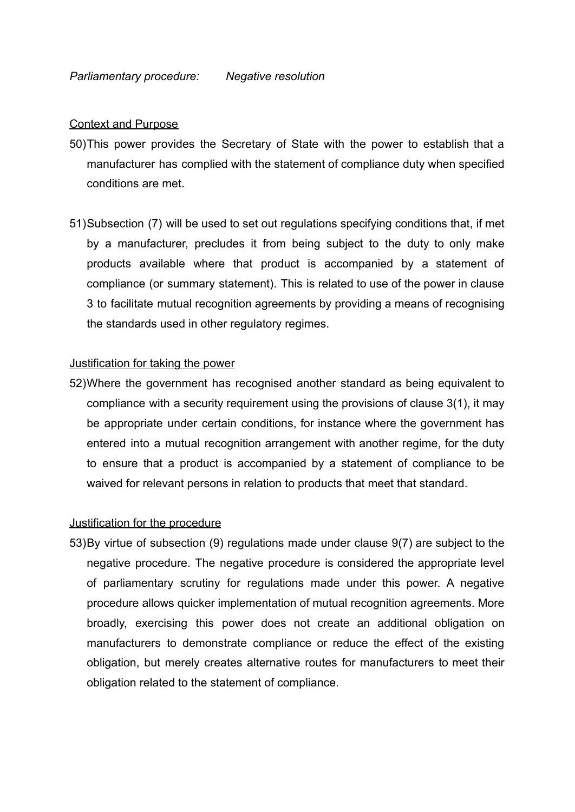#### Context and Purpose

- 50)This power provides the Secretary of State with the power to establish that a manufacturer has complied with the statement of compliance duty when specified conditions are met.
- 51)Subsection (7) will be used to set out regulations specifying conditions that, if met by a manufacturer, precludes it from being subject to the duty to only make products available where that product is accompanied by a statement of compliance (or summary statement). This is related to use of the power in clause 3 to facilitate mutual recognition agreements by providing a means of recognising the standards used in other regulatory regimes.

#### Justification for taking the power

52)Where the government has recognised another standard as being equivalent to compliance with a security requirement using the provisions of clause 3(1), it may be appropriate under certain conditions, for instance where the government has entered into a mutual recognition arrangement with another regime, for the duty to ensure that a product is accompanied by a statement of compliance to be waived for relevant persons in relation to products that meet that standard.

#### Justification for the procedure

53)By virtue of subsection (9) regulations made under clause 9(7) are subject to the negative procedure. The negative procedure is considered the appropriate level of parliamentary scrutiny for regulations made under this power. A negative procedure allows quicker implementation of mutual recognition agreements. More broadly, exercising this power does not create an additional obligation on manufacturers to demonstrate compliance or reduce the effect of the existing obligation, but merely creates alternative routes for manufacturers to meet their obligation related to the statement of compliance.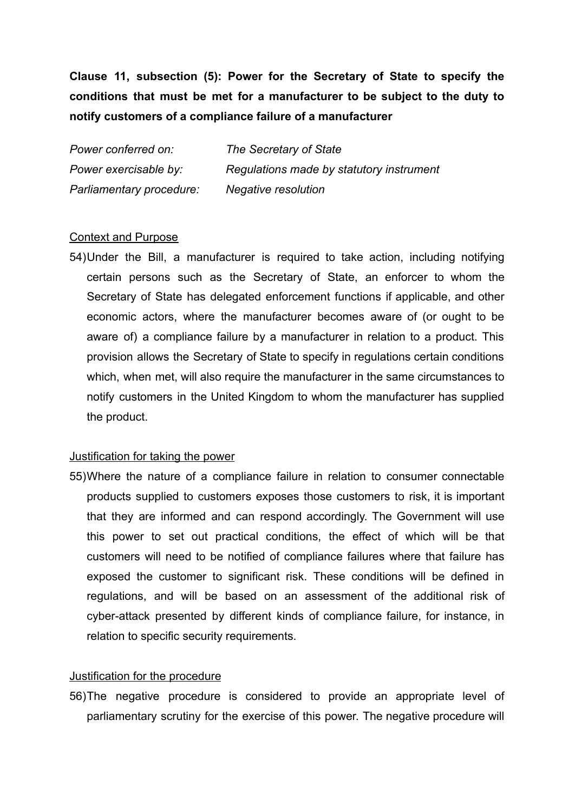**Clause 11, subsection (5): Power for the Secretary of State to specify the conditions that must be met for a manufacturer to be subject to the duty to notify customers of a compliance failure of a manufacturer**

*Power conferred on: The Secretary of State Power exercisable by: Regulations made by statutory instrument Parliamentary procedure: Negative resolution*

### Context and Purpose

54)Under the Bill, a manufacturer is required to take action, including notifying certain persons such as the Secretary of State, an enforcer to whom the Secretary of State has delegated enforcement functions if applicable, and other economic actors, where the manufacturer becomes aware of (or ought to be aware of) a compliance failure by a manufacturer in relation to a product. This provision allows the Secretary of State to specify in regulations certain conditions which, when met, will also require the manufacturer in the same circumstances to notify customers in the United Kingdom to whom the manufacturer has supplied the product.

#### Justification for taking the power

55)Where the nature of a compliance failure in relation to consumer connectable products supplied to customers exposes those customers to risk, it is important that they are informed and can respond accordingly. The Government will use this power to set out practical conditions, the effect of which will be that customers will need to be notified of compliance failures where that failure has exposed the customer to significant risk. These conditions will be defined in regulations, and will be based on an assessment of the additional risk of cyber-attack presented by different kinds of compliance failure, for instance, in relation to specific security requirements.

#### Justification for the procedure

56)The negative procedure is considered to provide an appropriate level of parliamentary scrutiny for the exercise of this power. The negative procedure will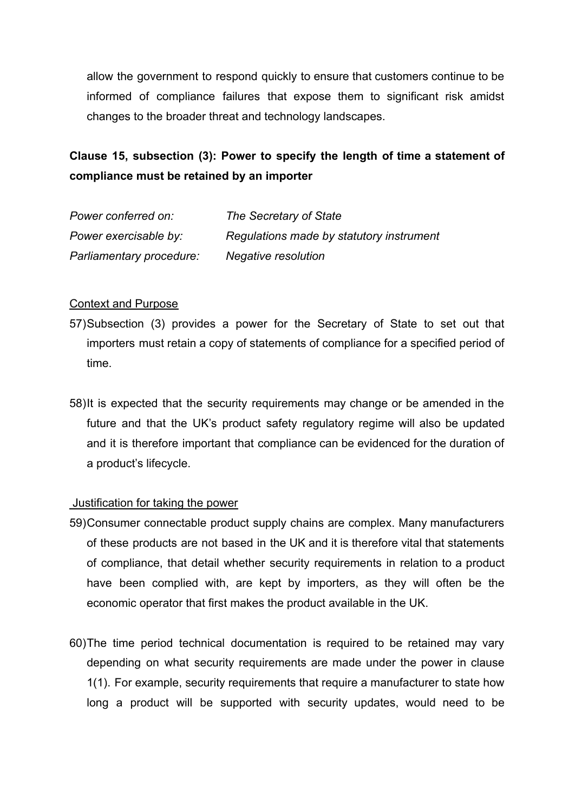allow the government to respond quickly to ensure that customers continue to be informed of compliance failures that expose them to significant risk amidst changes to the broader threat and technology landscapes.

# **Clause 15, subsection (3): Power to specify the length of time a statement of compliance must be retained by an importer**

| Power conferred on:      | The Secretary of State                   |
|--------------------------|------------------------------------------|
| Power exercisable by:    | Regulations made by statutory instrument |
| Parliamentary procedure: | Negative resolution                      |

## Context and Purpose

- 57)Subsection (3) provides a power for the Secretary of State to set out that importers must retain a copy of statements of compliance for a specified period of time.
- 58)It is expected that the security requirements may change or be amended in the future and that the UK's product safety regulatory regime will also be updated and it is therefore important that compliance can be evidenced for the duration of a product's lifecycle.

#### Justification for taking the power

- 59)Consumer connectable product supply chains are complex. Many manufacturers of these products are not based in the UK and it is therefore vital that statements of compliance, that detail whether security requirements in relation to a product have been complied with, are kept by importers, as they will often be the economic operator that first makes the product available in the UK.
- 60)The time period technical documentation is required to be retained may vary depending on what security requirements are made under the power in clause 1(1). For example, security requirements that require a manufacturer to state how long a product will be supported with security updates, would need to be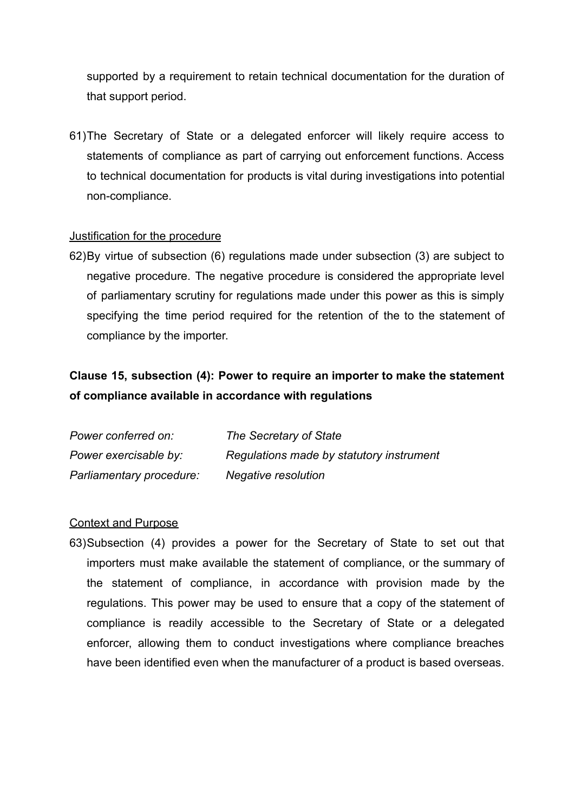supported by a requirement to retain technical documentation for the duration of that support period.

61)The Secretary of State or a delegated enforcer will likely require access to statements of compliance as part of carrying out enforcement functions. Access to technical documentation for products is vital during investigations into potential non-compliance.

## Justification for the procedure

62)By virtue of subsection (6) regulations made under subsection (3) are subject to negative procedure. The negative procedure is considered the appropriate level of parliamentary scrutiny for regulations made under this power as this is simply specifying the time period required for the retention of the to the statement of compliance by the importer.

# **Clause 15, subsection (4): Power to require an importer to make the statement of compliance available in accordance with regulations**

| Power conferred on:      | The Secretary of State                   |
|--------------------------|------------------------------------------|
| Power exercisable by:    | Regulations made by statutory instrument |
| Parliamentary procedure: | Negative resolution                      |

#### Context and Purpose

63)Subsection (4) provides a power for the Secretary of State to set out that importers must make available the statement of compliance, or the summary of the statement of compliance, in accordance with provision made by the regulations. This power may be used to ensure that a copy of the statement of compliance is readily accessible to the Secretary of State or a delegated enforcer, allowing them to conduct investigations where compliance breaches have been identified even when the manufacturer of a product is based overseas.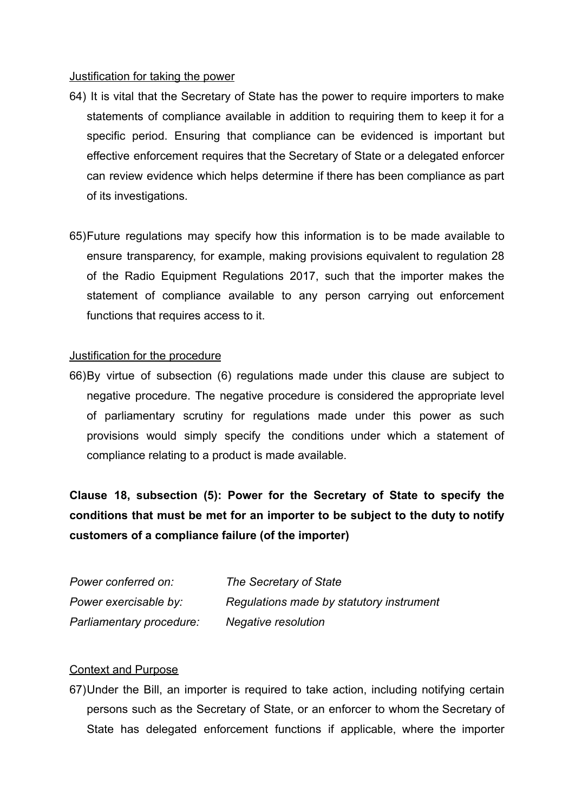#### Justification for taking the power

- 64) It is vital that the Secretary of State has the power to require importers to make statements of compliance available in addition to requiring them to keep it for a specific period. Ensuring that compliance can be evidenced is important but effective enforcement requires that the Secretary of State or a delegated enforcer can review evidence which helps determine if there has been compliance as part of its investigations.
- 65)Future regulations may specify how this information is to be made available to ensure transparency, for example, making provisions equivalent to regulation 28 of the Radio Equipment Regulations 2017, such that the importer makes the statement of compliance available to any person carrying out enforcement functions that requires access to it.

## Justification for the procedure

66)By virtue of subsection (6) regulations made under this clause are subject to negative procedure. The negative procedure is considered the appropriate level of parliamentary scrutiny for regulations made under this power as such provisions would simply specify the conditions under which a statement of compliance relating to a product is made available.

**Clause 18, subsection (5): Power for the Secretary of State to specify the conditions that must be met for an importer to be subject to the duty to notify customers of a compliance failure (of the importer)**

| Power conferred on:      | The Secretary of State                   |
|--------------------------|------------------------------------------|
| Power exercisable by:    | Regulations made by statutory instrument |
| Parliamentary procedure: | Negative resolution                      |

### Context and Purpose

67)Under the Bill, an importer is required to take action, including notifying certain persons such as the Secretary of State, or an enforcer to whom the Secretary of State has delegated enforcement functions if applicable, where the importer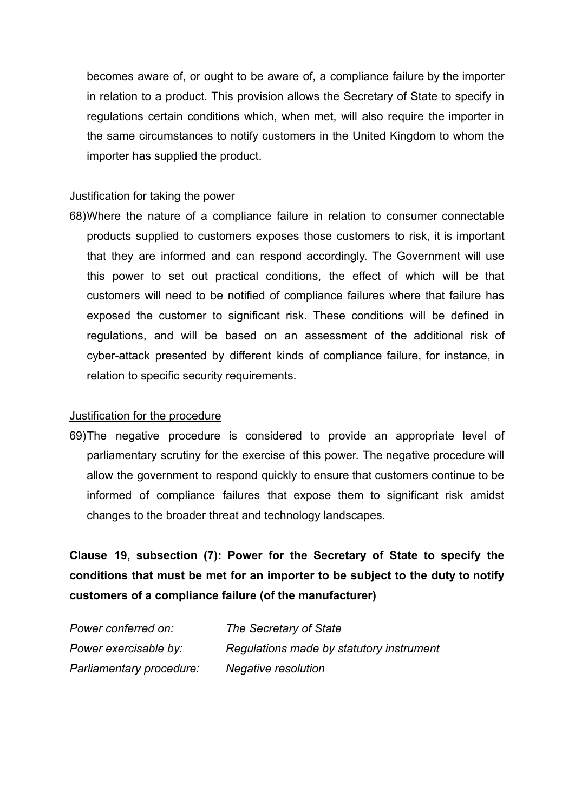becomes aware of, or ought to be aware of, a compliance failure by the importer in relation to a product. This provision allows the Secretary of State to specify in regulations certain conditions which, when met, will also require the importer in the same circumstances to notify customers in the United Kingdom to whom the importer has supplied the product.

### Justification for taking the power

68)Where the nature of a compliance failure in relation to consumer connectable products supplied to customers exposes those customers to risk, it is important that they are informed and can respond accordingly. The Government will use this power to set out practical conditions, the effect of which will be that customers will need to be notified of compliance failures where that failure has exposed the customer to significant risk. These conditions will be defined in regulations, and will be based on an assessment of the additional risk of cyber-attack presented by different kinds of compliance failure, for instance, in relation to specific security requirements.

#### Justification for the procedure

69)The negative procedure is considered to provide an appropriate level of parliamentary scrutiny for the exercise of this power. The negative procedure will allow the government to respond quickly to ensure that customers continue to be informed of compliance failures that expose them to significant risk amidst changes to the broader threat and technology landscapes.

**Clause 19, subsection (7): Power for the Secretary of State to specify the conditions that must be met for an importer to be subject to the duty to notify customers of a compliance failure (of the manufacturer)**

| Power conferred on:      | The Secretary of State                   |
|--------------------------|------------------------------------------|
| Power exercisable by:    | Regulations made by statutory instrument |
| Parliamentary procedure: | Negative resolution                      |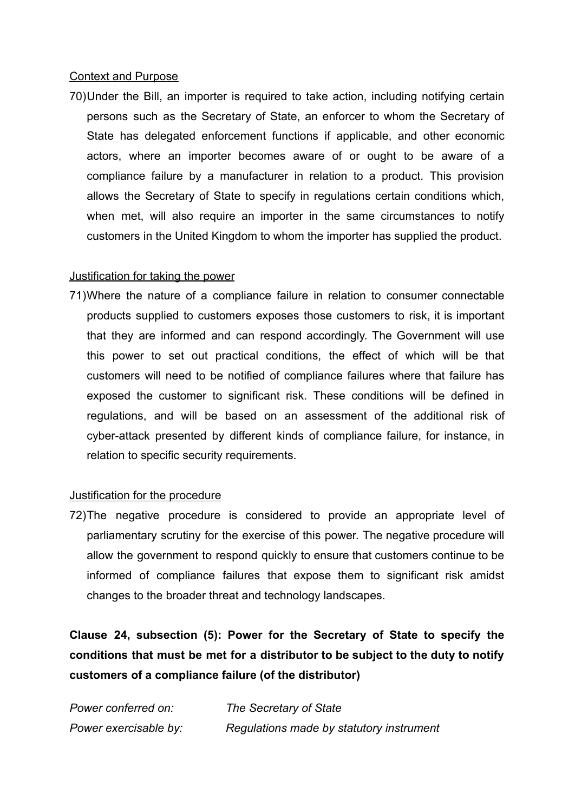#### Context and Purpose

70)Under the Bill, an importer is required to take action, including notifying certain persons such as the Secretary of State, an enforcer to whom the Secretary of State has delegated enforcement functions if applicable, and other economic actors, where an importer becomes aware of or ought to be aware of a compliance failure by a manufacturer in relation to a product. This provision allows the Secretary of State to specify in regulations certain conditions which, when met, will also require an importer in the same circumstances to notify customers in the United Kingdom to whom the importer has supplied the product.

## Justification for taking the power

71)Where the nature of a compliance failure in relation to consumer connectable products supplied to customers exposes those customers to risk, it is important that they are informed and can respond accordingly. The Government will use this power to set out practical conditions, the effect of which will be that customers will need to be notified of compliance failures where that failure has exposed the customer to significant risk. These conditions will be defined in regulations, and will be based on an assessment of the additional risk of cyber-attack presented by different kinds of compliance failure, for instance, in relation to specific security requirements.

## Justification for the procedure

72)The negative procedure is considered to provide an appropriate level of parliamentary scrutiny for the exercise of this power. The negative procedure will allow the government to respond quickly to ensure that customers continue to be informed of compliance failures that expose them to significant risk amidst changes to the broader threat and technology landscapes.

**Clause 24, subsection (5): Power for the Secretary of State to specify the conditions that must be met for a distributor to be subject to the duty to notify customers of a compliance failure (of the distributor)**

| Power conferred on:   | The Secretary of State                   |
|-----------------------|------------------------------------------|
| Power exercisable by: | Regulations made by statutory instrument |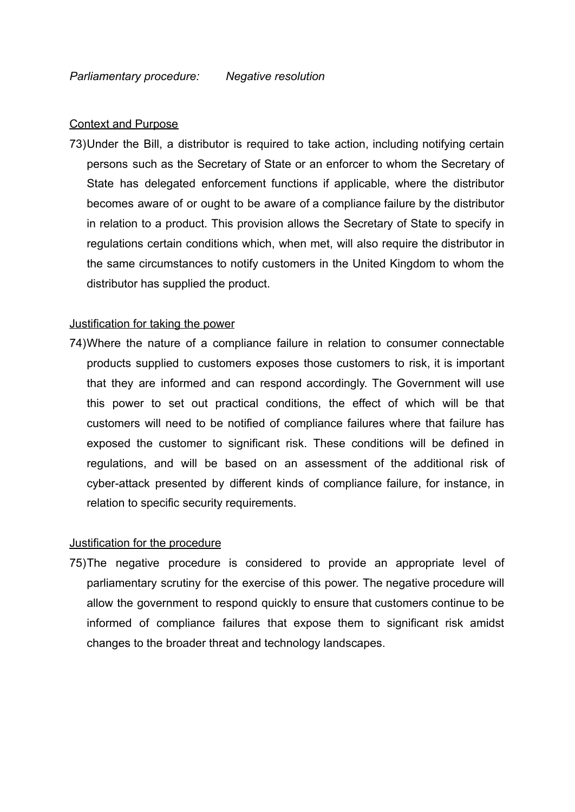#### Context and Purpose

73)Under the Bill, a distributor is required to take action, including notifying certain persons such as the Secretary of State or an enforcer to whom the Secretary of State has delegated enforcement functions if applicable, where the distributor becomes aware of or ought to be aware of a compliance failure by the distributor in relation to a product. This provision allows the Secretary of State to specify in regulations certain conditions which, when met, will also require the distributor in the same circumstances to notify customers in the United Kingdom to whom the distributor has supplied the product.

#### Justification for taking the power

74)Where the nature of a compliance failure in relation to consumer connectable products supplied to customers exposes those customers to risk, it is important that they are informed and can respond accordingly. The Government will use this power to set out practical conditions, the effect of which will be that customers will need to be notified of compliance failures where that failure has exposed the customer to significant risk. These conditions will be defined in regulations, and will be based on an assessment of the additional risk of cyber-attack presented by different kinds of compliance failure, for instance, in relation to specific security requirements.

#### Justification for the procedure

75)The negative procedure is considered to provide an appropriate level of parliamentary scrutiny for the exercise of this power. The negative procedure will allow the government to respond quickly to ensure that customers continue to be informed of compliance failures that expose them to significant risk amidst changes to the broader threat and technology landscapes.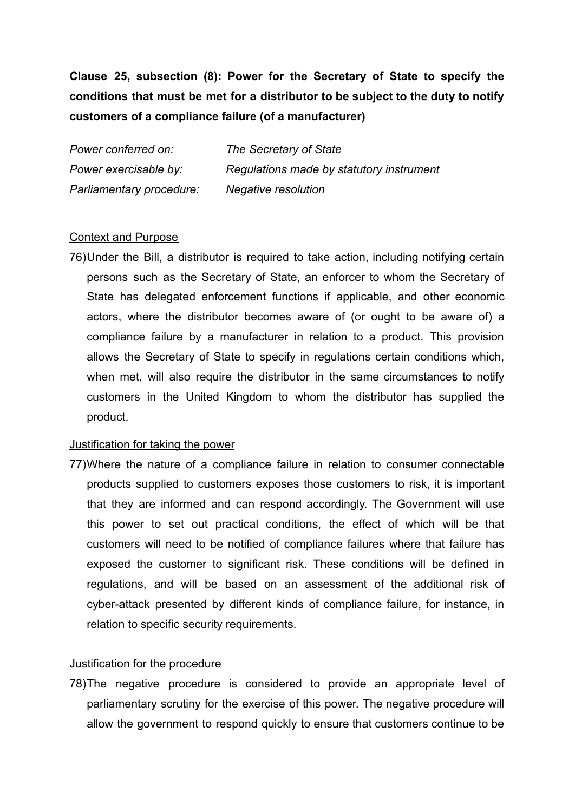# **Clause 25, subsection (8): Power for the Secretary of State to specify the conditions that must be met for a distributor to be subject to the duty to notify customers of a compliance failure (of a manufacturer)**

*Power conferred on: The Secretary of State Power exercisable by: Regulations made by statutory instrument Parliamentary procedure: Negative resolution*

#### Context and Purpose

76)Under the Bill, a distributor is required to take action, including notifying certain persons such as the Secretary of State, an enforcer to whom the Secretary of State has delegated enforcement functions if applicable, and other economic actors, where the distributor becomes aware of (or ought to be aware of) a compliance failure by a manufacturer in relation to a product. This provision allows the Secretary of State to specify in regulations certain conditions which, when met, will also require the distributor in the same circumstances to notify customers in the United Kingdom to whom the distributor has supplied the product.

#### Justification for taking the power

77)Where the nature of a compliance failure in relation to consumer connectable products supplied to customers exposes those customers to risk, it is important that they are informed and can respond accordingly. The Government will use this power to set out practical conditions, the effect of which will be that customers will need to be notified of compliance failures where that failure has exposed the customer to significant risk. These conditions will be defined in regulations, and will be based on an assessment of the additional risk of cyber-attack presented by different kinds of compliance failure, for instance, in relation to specific security requirements.

#### Justification for the procedure

78)The negative procedure is considered to provide an appropriate level of parliamentary scrutiny for the exercise of this power. The negative procedure will allow the government to respond quickly to ensure that customers continue to be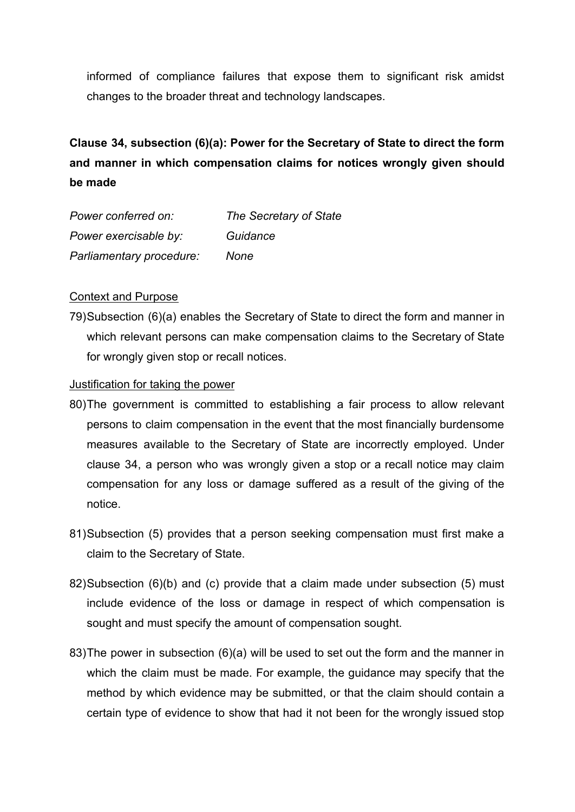informed of compliance failures that expose them to significant risk amidst changes to the broader threat and technology landscapes.

**Clause 34, subsection (6)(a): Power for the Secretary of State to direct the form and manner in which compensation claims for notices wrongly given should be made**

| Power conferred on:      | The Secretary of State |
|--------------------------|------------------------|
| Power exercisable by:    | Guidance               |
| Parliamentary procedure: | None                   |

### Context and Purpose

79)Subsection (6)(a) enables the Secretary of State to direct the form and manner in which relevant persons can make compensation claims to the Secretary of State for wrongly given stop or recall notices.

#### Justification for taking the power

- 80)The government is committed to establishing a fair process to allow relevant persons to claim compensation in the event that the most financially burdensome measures available to the Secretary of State are incorrectly employed. Under clause 34, a person who was wrongly given a stop or a recall notice may claim compensation for any loss or damage suffered as a result of the giving of the notice.
- 81)Subsection (5) provides that a person seeking compensation must first make a claim to the Secretary of State.
- 82)Subsection (6)(b) and (c) provide that a claim made under subsection (5) must include evidence of the loss or damage in respect of which compensation is sought and must specify the amount of compensation sought.
- 83)The power in subsection (6)(a) will be used to set out the form and the manner in which the claim must be made. For example, the guidance may specify that the method by which evidence may be submitted, or that the claim should contain a certain type of evidence to show that had it not been for the wrongly issued stop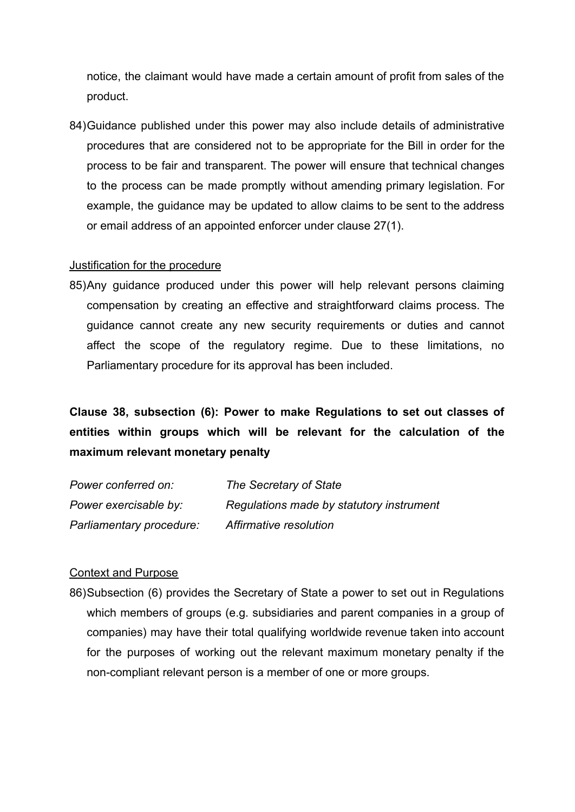notice, the claimant would have made a certain amount of profit from sales of the product.

84)Guidance published under this power may also include details of administrative procedures that are considered not to be appropriate for the Bill in order for the process to be fair and transparent. The power will ensure that technical changes to the process can be made promptly without amending primary legislation. For example, the guidance may be updated to allow claims to be sent to the address or email address of an appointed enforcer under clause 27(1).

### Justification for the procedure

85)Any guidance produced under this power will help relevant persons claiming compensation by creating an effective and straightforward claims process. The guidance cannot create any new security requirements or duties and cannot affect the scope of the regulatory regime. Due to these limitations, no Parliamentary procedure for its approval has been included.

# **Clause 38, subsection (6): Power to make Regulations to set out classes of entities within groups which will be relevant for the calculation of the maximum relevant monetary penalty**

| Power conferred on:      | The Secretary of State                   |
|--------------------------|------------------------------------------|
| Power exercisable by:    | Regulations made by statutory instrument |
| Parliamentary procedure: | Affirmative resolution                   |

## Context and Purpose

86)Subsection (6) provides the Secretary of State a power to set out in Regulations which members of groups (e.g. subsidiaries and parent companies in a group of companies) may have their total qualifying worldwide revenue taken into account for the purposes of working out the relevant maximum monetary penalty if the non-compliant relevant person is a member of one or more groups.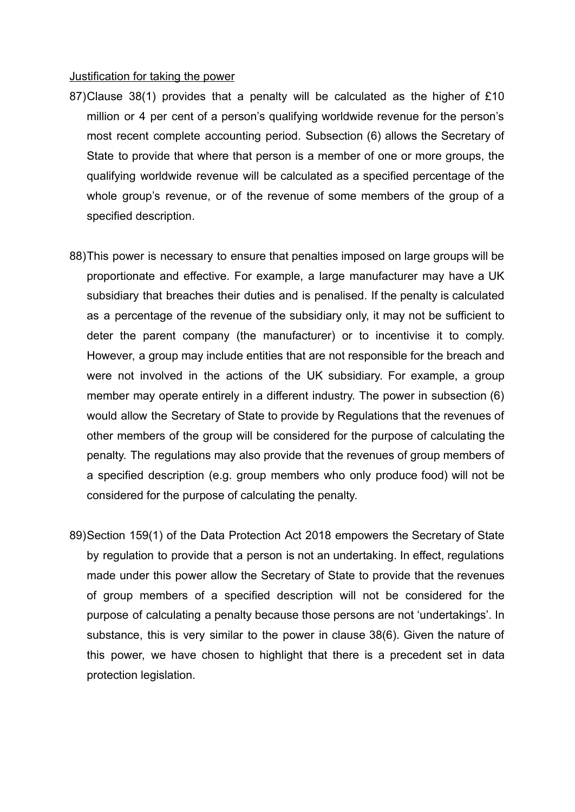#### Justification for taking the power

- 87)Clause 38(1) provides that a penalty will be calculated as the higher of £10 million or 4 per cent of a person's qualifying worldwide revenue for the person's most recent complete accounting period. Subsection (6) allows the Secretary of State to provide that where that person is a member of one or more groups, the qualifying worldwide revenue will be calculated as a specified percentage of the whole group's revenue, or of the revenue of some members of the group of a specified description.
- 88)This power is necessary to ensure that penalties imposed on large groups will be proportionate and effective. For example, a large manufacturer may have a UK subsidiary that breaches their duties and is penalised. If the penalty is calculated as a percentage of the revenue of the subsidiary only, it may not be sufficient to deter the parent company (the manufacturer) or to incentivise it to comply. However, a group may include entities that are not responsible for the breach and were not involved in the actions of the UK subsidiary. For example, a group member may operate entirely in a different industry. The power in subsection (6) would allow the Secretary of State to provide by Regulations that the revenues of other members of the group will be considered for the purpose of calculating the penalty. The regulations may also provide that the revenues of group members of a specified description (e.g. group members who only produce food) will not be considered for the purpose of calculating the penalty.
- 89)Section 159(1) of the Data Protection Act 2018 empowers the Secretary of State by regulation to provide that a person is not an undertaking. In effect, regulations made under this power allow the Secretary of State to provide that the revenues of group members of a specified description will not be considered for the purpose of calculating a penalty because those persons are not 'undertakings'. In substance, this is very similar to the power in clause 38(6). Given the nature of this power, we have chosen to highlight that there is a precedent set in data protection legislation.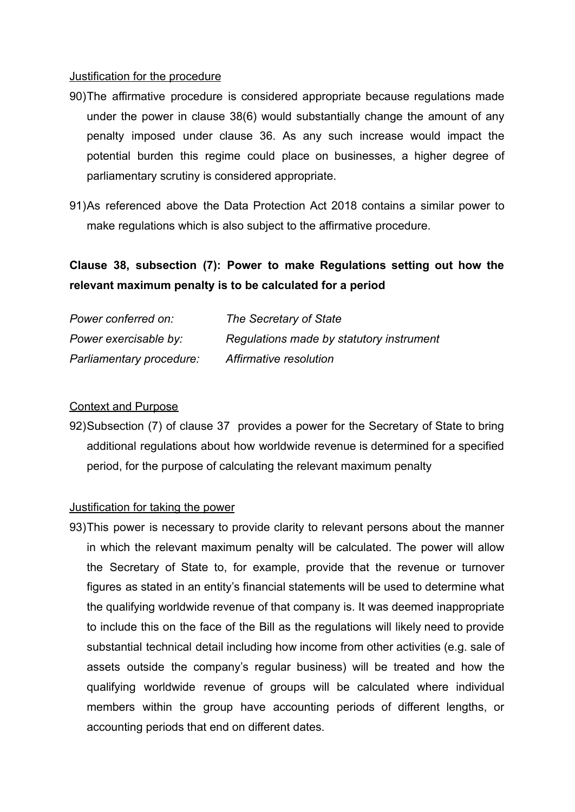#### Justification for the procedure

- 90)The affirmative procedure is considered appropriate because regulations made under the power in clause 38(6) would substantially change the amount of any penalty imposed under clause 36. As any such increase would impact the potential burden this regime could place on businesses, a higher degree of parliamentary scrutiny is considered appropriate.
- 91)As referenced above the Data Protection Act 2018 contains a similar power to make regulations which is also subject to the affirmative procedure.

# **Clause 38, subsection (7): Power to make Regulations setting out how the relevant maximum penalty is to be calculated for a period**

| Power conferred on:      | The Secretary of State                   |
|--------------------------|------------------------------------------|
| Power exercisable by:    | Regulations made by statutory instrument |
| Parliamentary procedure: | Affirmative resolution                   |

### Context and Purpose

92)Subsection (7) of clause 37 provides a power for the Secretary of State to bring additional regulations about how worldwide revenue is determined for a specified period, for the purpose of calculating the relevant maximum penalty

#### Justification for taking the power

93)This power is necessary to provide clarity to relevant persons about the manner in which the relevant maximum penalty will be calculated. The power will allow the Secretary of State to, for example, provide that the revenue or turnover figures as stated in an entity's financial statements will be used to determine what the qualifying worldwide revenue of that company is. It was deemed inappropriate to include this on the face of the Bill as the regulations will likely need to provide substantial technical detail including how income from other activities (e.g. sale of assets outside the company's regular business) will be treated and how the qualifying worldwide revenue of groups will be calculated where individual members within the group have accounting periods of different lengths, or accounting periods that end on different dates.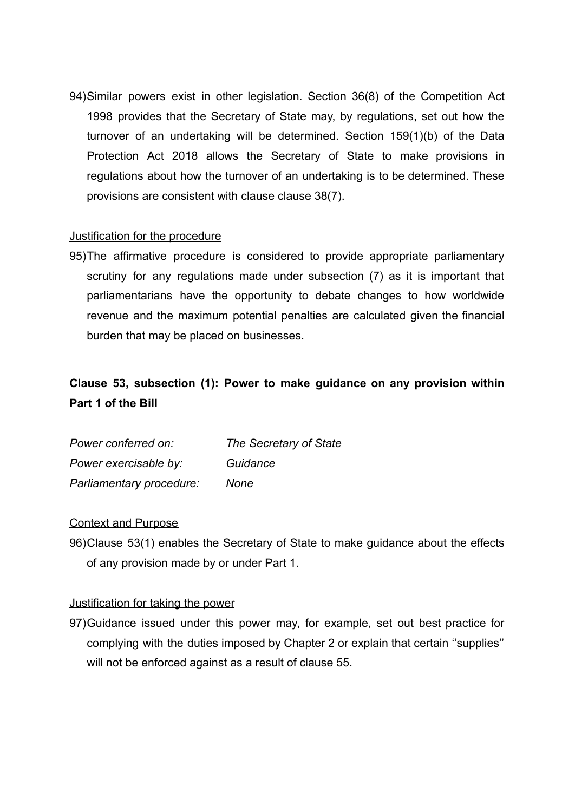94)Similar powers exist in other legislation. Section 36(8) of the Competition Act 1998 provides that the Secretary of State may, by regulations, set out how the turnover of an undertaking will be determined. Section 159(1)(b) of the Data Protection Act 2018 allows the Secretary of State to make provisions in regulations about how the turnover of an undertaking is to be determined. These provisions are consistent with clause clause 38(7).

## Justification for the procedure

95)The affirmative procedure is considered to provide appropriate parliamentary scrutiny for any regulations made under subsection (7) as it is important that parliamentarians have the opportunity to debate changes to how worldwide revenue and the maximum potential penalties are calculated given the financial burden that may be placed on businesses.

# **Clause 53, subsection (1): Power to make guidance on any provision within Part 1 of the Bill**

| Power conferred on:      | The Secretary of State |
|--------------------------|------------------------|
| Power exercisable by:    | Guidance               |
| Parliamentary procedure: | None                   |

#### Context and Purpose

96)Clause 53(1) enables the Secretary of State to make guidance about the effects of any provision made by or under Part 1.

#### Justification for taking the power

97)Guidance issued under this power may, for example, set out best practice for complying with the duties imposed by Chapter 2 or explain that certain ''supplies'' will not be enforced against as a result of clause 55.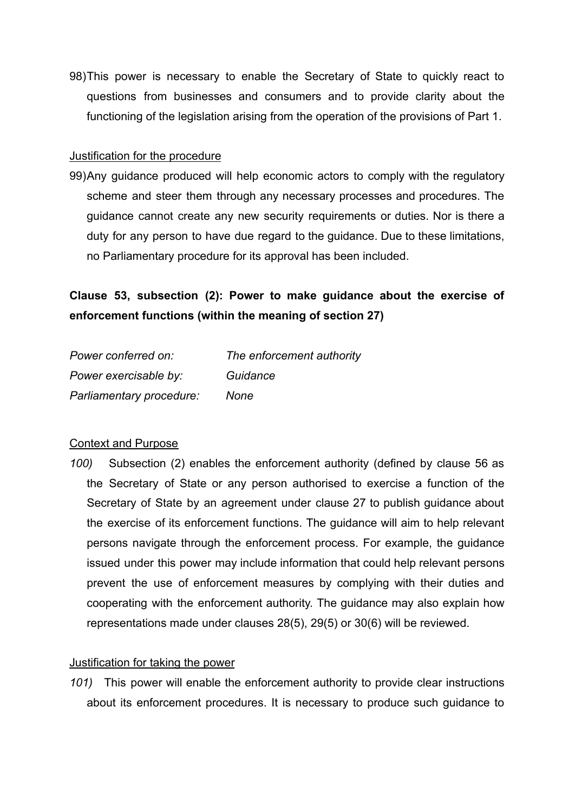98)This power is necessary to enable the Secretary of State to quickly react to questions from businesses and consumers and to provide clarity about the functioning of the legislation arising from the operation of the provisions of Part 1.

## Justification for the procedure

99)Any guidance produced will help economic actors to comply with the regulatory scheme and steer them through any necessary processes and procedures. The guidance cannot create any new security requirements or duties. Nor is there a duty for any person to have due regard to the guidance. Due to these limitations, no Parliamentary procedure for its approval has been included.

**Clause 53, subsection (2): Power to make guidance about the exercise of enforcement functions (within the meaning of section 27)**

| Power conferred on:      | The enforcement authority |
|--------------------------|---------------------------|
| Power exercisable by:    | Guidance                  |
| Parliamentary procedure: | None                      |

## Context and Purpose

*100)* Subsection (2) enables the enforcement authority (defined by clause 56 as the Secretary of State or any person authorised to exercise a function of the Secretary of State by an agreement under clause 27 to publish guidance about the exercise of its enforcement functions. The guidance will aim to help relevant persons navigate through the enforcement process. For example, the guidance issued under this power may include information that could help relevant persons prevent the use of enforcement measures by complying with their duties and cooperating with the enforcement authority. The guidance may also explain how representations made under clauses 28(5), 29(5) or 30(6) will be reviewed.

#### Justification for taking the power

*101)* This power will enable the enforcement authority to provide clear instructions about its enforcement procedures. It is necessary to produce such guidance to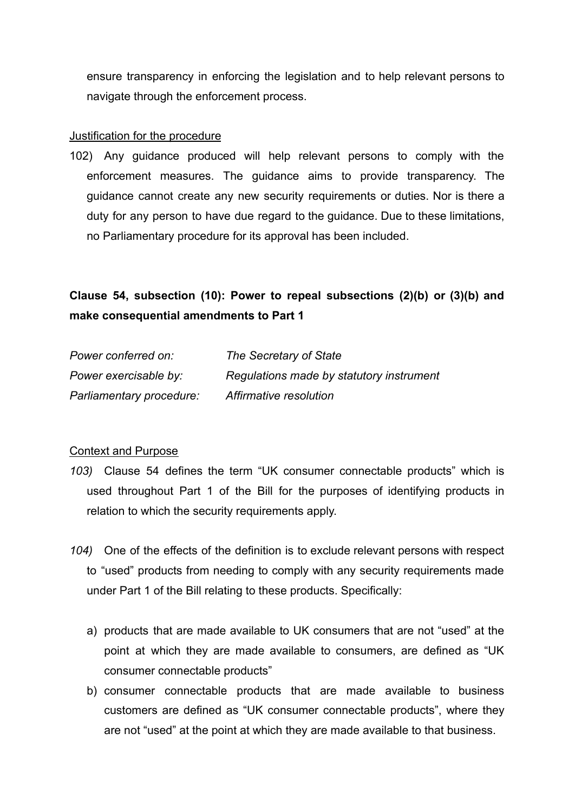ensure transparency in enforcing the legislation and to help relevant persons to navigate through the enforcement process.

### Justification for the procedure

102) Any guidance produced will help relevant persons to comply with the enforcement measures. The guidance aims to provide transparency. The guidance cannot create any new security requirements or duties. Nor is there a duty for any person to have due regard to the guidance. Due to these limitations, no Parliamentary procedure for its approval has been included.

# **Clause 54, subsection (10): Power to repeal subsections (2)(b) or (3)(b) and make consequential amendments to Part 1**

| Power conferred on:      | The Secretary of State                   |
|--------------------------|------------------------------------------|
| Power exercisable by:    | Regulations made by statutory instrument |
| Parliamentary procedure: | Affirmative resolution                   |

## Context and Purpose

- *103)* Clause 54 defines the term "UK consumer connectable products" which is used throughout Part 1 of the Bill for the purposes of identifying products in relation to which the security requirements apply.
- *104)* One of the effects of the definition is to exclude relevant persons with respect to "used" products from needing to comply with any security requirements made under Part 1 of the Bill relating to these products. Specifically:
	- a) products that are made available to UK consumers that are not "used" at the point at which they are made available to consumers, are defined as "UK consumer connectable products"
	- b) consumer connectable products that are made available to business customers are defined as "UK consumer connectable products", where they are not "used" at the point at which they are made available to that business.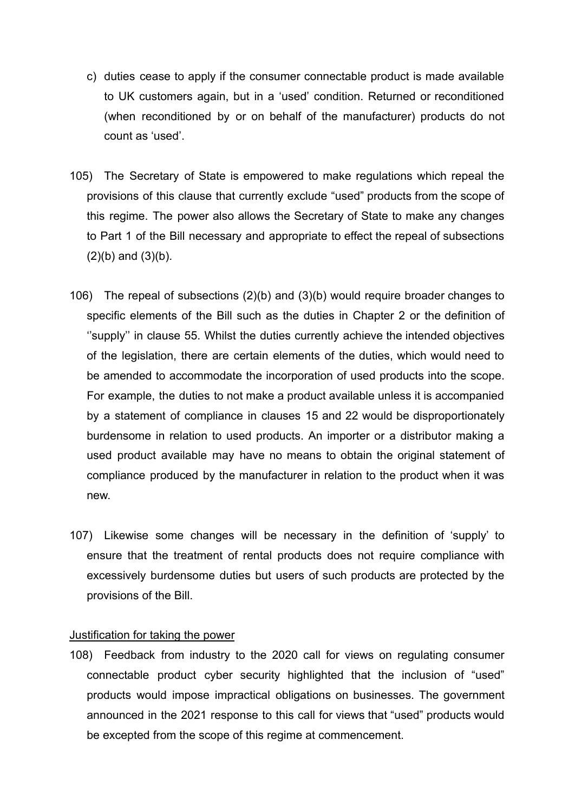- c) duties cease to apply if the consumer connectable product is made available to UK customers again, but in a 'used' condition. Returned or reconditioned (when reconditioned by or on behalf of the manufacturer) products do not count as 'used'.
- 105) The Secretary of State is empowered to make regulations which repeal the provisions of this clause that currently exclude "used" products from the scope of this regime. The power also allows the Secretary of State to make any changes to Part 1 of the Bill necessary and appropriate to effect the repeal of subsections  $(2)(b)$  and  $(3)(b)$ .
- 106) The repeal of subsections (2)(b) and (3)(b) would require broader changes to specific elements of the Bill such as the duties in Chapter 2 or the definition of "supply" in clause 55. Whilst the duties currently achieve the intended objectives of the legislation, there are certain elements of the duties, which would need to be amended to accommodate the incorporation of used products into the scope. For example, the duties to not make a product available unless it is accompanied by a statement of compliance in clauses 15 and 22 would be disproportionately burdensome in relation to used products. An importer or a distributor making a used product available may have no means to obtain the original statement of compliance produced by the manufacturer in relation to the product when it was new.
- 107) Likewise some changes will be necessary in the definition of 'supply' to ensure that the treatment of rental products does not require compliance with excessively burdensome duties but users of such products are protected by the provisions of the Bill.

#### Justification for taking the power

108) Feedback from industry to the 2020 call for views on regulating consumer connectable product cyber security highlighted that the inclusion of "used" products would impose impractical obligations on businesses. The government announced in the 2021 response to this call for views that "used" products would be excepted from the scope of this regime at commencement.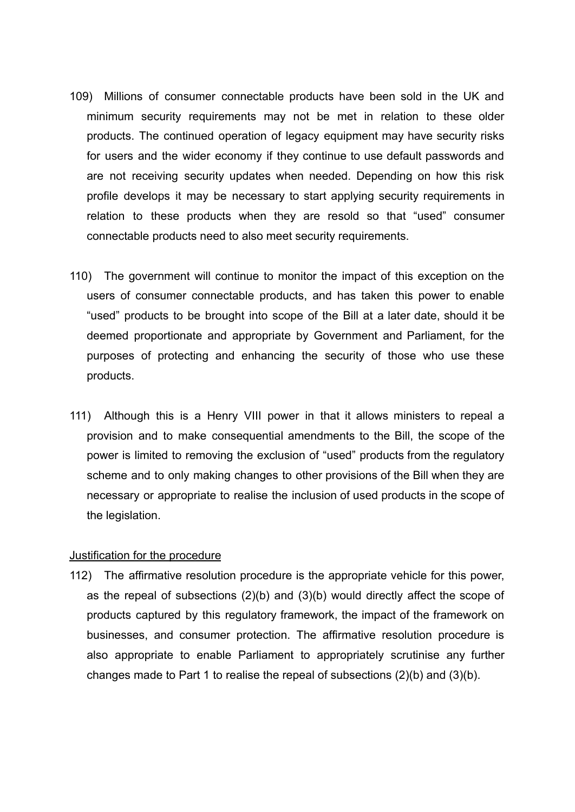- 109) Millions of consumer connectable products have been sold in the UK and minimum security requirements may not be met in relation to these older products. The continued operation of legacy equipment may have security risks for users and the wider economy if they continue to use default passwords and are not receiving security updates when needed. Depending on how this risk profile develops it may be necessary to start applying security requirements in relation to these products when they are resold so that "used" consumer connectable products need to also meet security requirements.
- 110) The government will continue to monitor the impact of this exception on the users of consumer connectable products, and has taken this power to enable "used" products to be brought into scope of the Bill at a later date, should it be deemed proportionate and appropriate by Government and Parliament, for the purposes of protecting and enhancing the security of those who use these products.
- 111) Although this is a Henry VIII power in that it allows ministers to repeal a provision and to make consequential amendments to the Bill, the scope of the power is limited to removing the exclusion of "used" products from the regulatory scheme and to only making changes to other provisions of the Bill when they are necessary or appropriate to realise the inclusion of used products in the scope of the legislation.

#### Justification for the procedure

112) The affirmative resolution procedure is the appropriate vehicle for this power, as the repeal of subsections (2)(b) and (3)(b) would directly affect the scope of products captured by this regulatory framework, the impact of the framework on businesses, and consumer protection. The affirmative resolution procedure is also appropriate to enable Parliament to appropriately scrutinise any further changes made to Part 1 to realise the repeal of subsections (2)(b) and (3)(b).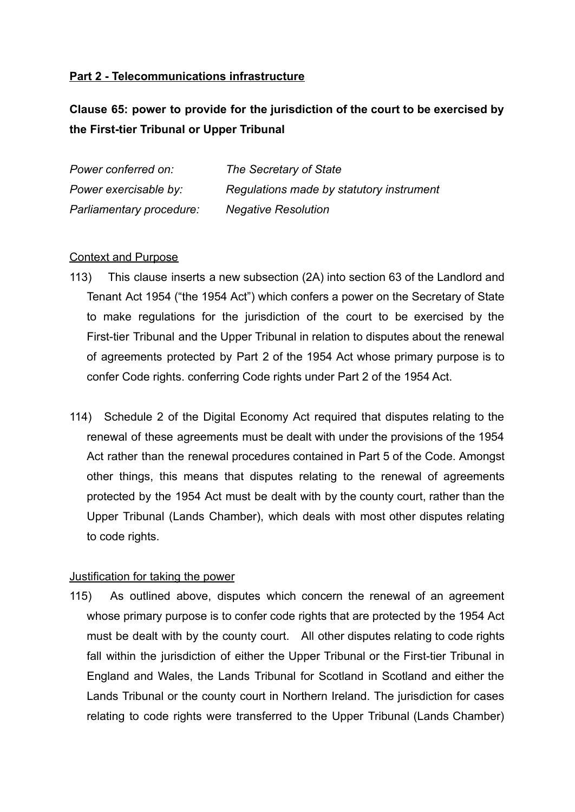## **Part 2 - Telecommunications infrastructure**

**Clause 65: power to provide for the jurisdiction of the court to be exercised by the First-tier Tribunal or Upper Tribunal**

| Power conferred on:      | The Secretary of State                   |
|--------------------------|------------------------------------------|
| Power exercisable by:    | Regulations made by statutory instrument |
| Parliamentary procedure: | <b>Negative Resolution</b>               |

## Context and Purpose

- 113) This clause inserts a new subsection (2A) into section 63 of the Landlord and Tenant Act 1954 ("the 1954 Act") which confers a power on the Secretary of State to make regulations for the jurisdiction of the court to be exercised by the First-tier Tribunal and the Upper Tribunal in relation to disputes about the renewal of agreements protected by Part 2 of the 1954 Act whose primary purpose is to confer Code rights. conferring Code rights under Part 2 of the 1954 Act.
- 114) Schedule 2 of the Digital Economy Act required that disputes relating to the renewal of these agreements must be dealt with under the provisions of the 1954 Act rather than the renewal procedures contained in Part 5 of the Code. Amongst other things, this means that disputes relating to the renewal of agreements protected by the 1954 Act must be dealt with by the county court, rather than the Upper Tribunal (Lands Chamber), which deals with most other disputes relating to code rights.

## Justification for taking the power

115) As outlined above, disputes which concern the renewal of an agreement whose primary purpose is to confer code rights that are protected by the 1954 Act must be dealt with by the county court. All other disputes relating to code rights fall within the jurisdiction of either the Upper Tribunal or the First-tier Tribunal in England and Wales, the Lands Tribunal for Scotland in Scotland and either the Lands Tribunal or the county court in Northern Ireland. The jurisdiction for cases relating to code rights were transferred to the Upper Tribunal (Lands Chamber)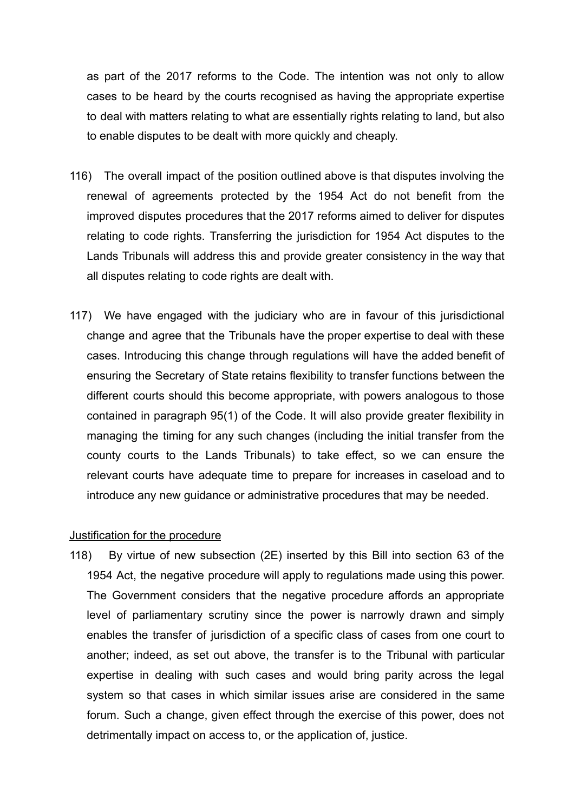as part of the 2017 reforms to the Code. The intention was not only to allow cases to be heard by the courts recognised as having the appropriate expertise to deal with matters relating to what are essentially rights relating to land, but also to enable disputes to be dealt with more quickly and cheaply.

- 116) The overall impact of the position outlined above is that disputes involving the renewal of agreements protected by the 1954 Act do not benefit from the improved disputes procedures that the 2017 reforms aimed to deliver for disputes relating to code rights. Transferring the jurisdiction for 1954 Act disputes to the Lands Tribunals will address this and provide greater consistency in the way that all disputes relating to code rights are dealt with.
- 117) We have engaged with the judiciary who are in favour of this jurisdictional change and agree that the Tribunals have the proper expertise to deal with these cases. Introducing this change through regulations will have the added benefit of ensuring the Secretary of State retains flexibility to transfer functions between the different courts should this become appropriate, with powers analogous to those contained in paragraph 95(1) of the Code. It will also provide greater flexibility in managing the timing for any such changes (including the initial transfer from the county courts to the Lands Tribunals) to take effect, so we can ensure the relevant courts have adequate time to prepare for increases in caseload and to introduce any new guidance or administrative procedures that may be needed.

#### Justification for the procedure

118) By virtue of new subsection (2E) inserted by this Bill into section 63 of the 1954 Act, the negative procedure will apply to regulations made using this power. The Government considers that the negative procedure affords an appropriate level of parliamentary scrutiny since the power is narrowly drawn and simply enables the transfer of jurisdiction of a specific class of cases from one court to another; indeed, as set out above, the transfer is to the Tribunal with particular expertise in dealing with such cases and would bring parity across the legal system so that cases in which similar issues arise are considered in the same forum. Such a change, given effect through the exercise of this power, does not detrimentally impact on access to, or the application of, justice.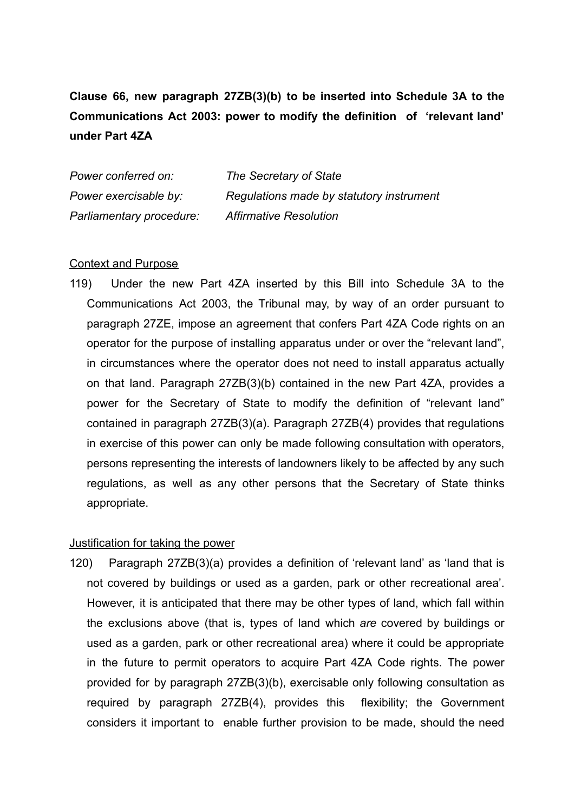**Clause 66, new paragraph 27ZB(3)(b) to be inserted into Schedule 3A to the Communications Act 2003: power to modify the definition of 'relevant land' under Part 4ZA**

| Power conferred on:      | The Secretary of State                   |
|--------------------------|------------------------------------------|
| Power exercisable by:    | Regulations made by statutory instrument |
| Parliamentary procedure: | <b>Affirmative Resolution</b>            |

#### Context and Purpose

119) Under the new Part 4ZA inserted by this Bill into Schedule 3A to the Communications Act 2003, the Tribunal may, by way of an order pursuant to paragraph 27ZE, impose an agreement that confers Part 4ZA Code rights on an operator for the purpose of installing apparatus under or over the "relevant land", in circumstances where the operator does not need to install apparatus actually on that land. Paragraph 27ZB(3)(b) contained in the new Part 4ZA, provides a power for the Secretary of State to modify the definition of "relevant land" contained in paragraph 27ZB(3)(a). Paragraph 27ZB(4) provides that regulations in exercise of this power can only be made following consultation with operators, persons representing the interests of landowners likely to be affected by any such regulations, as well as any other persons that the Secretary of State thinks appropriate.

#### Justification for taking the power

120) Paragraph 27ZB(3)(a) provides a definition of 'relevant land' as 'land that is not covered by buildings or used as a garden, park or other recreational area'. However, it is anticipated that there may be other types of land, which fall within the exclusions above (that is, types of land which *are* covered by buildings or used as a garden, park or other recreational area) where it could be appropriate in the future to permit operators to acquire Part 4ZA Code rights. The power provided for by paragraph 27ZB(3)(b), exercisable only following consultation as required by paragraph 27ZB(4), provides this flexibility; the Government considers it important to enable further provision to be made, should the need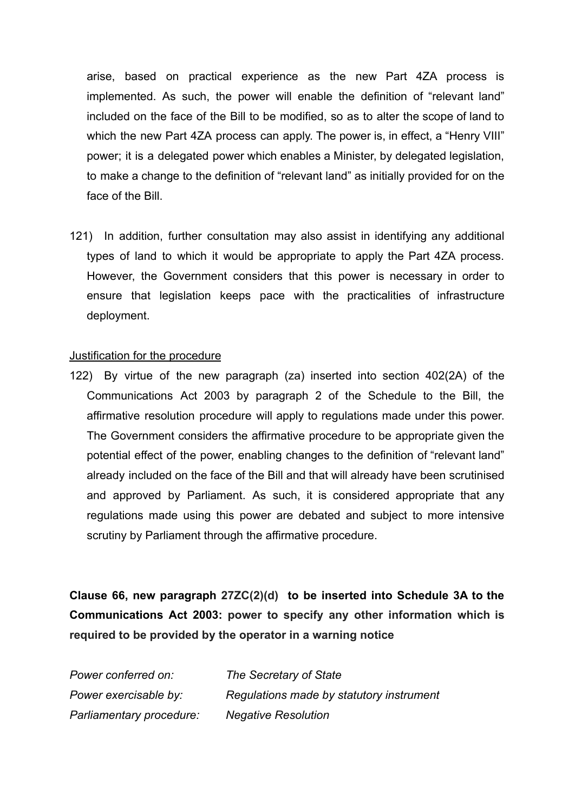arise, based on practical experience as the new Part 4ZA process is implemented. As such, the power will enable the definition of "relevant land" included on the face of the Bill to be modified, so as to alter the scope of land to which the new Part 4ZA process can apply. The power is, in effect, a "Henry VIII" power; it is a delegated power which enables a Minister, by delegated legislation, to make a change to the definition of "relevant land" as initially provided for on the face of the Bill.

121) In addition, further consultation may also assist in identifying any additional types of land to which it would be appropriate to apply the Part 4ZA process. However, the Government considers that this power is necessary in order to ensure that legislation keeps pace with the practicalities of infrastructure deployment.

#### Justification for the procedure

122) By virtue of the new paragraph (za) inserted into section 402(2A) of the Communications Act 2003 by paragraph 2 of the Schedule to the Bill, the affirmative resolution procedure will apply to regulations made under this power. The Government considers the affirmative procedure to be appropriate given the potential effect of the power, enabling changes to the definition of "relevant land" already included on the face of the Bill and that will already have been scrutinised and approved by Parliament. As such, it is considered appropriate that any regulations made using this power are debated and subject to more intensive scrutiny by Parliament through the affirmative procedure.

**Clause 66, new paragraph 27ZC(2)(d) to be inserted into Schedule 3A to the Communications Act 2003: power to specify any other information which is required to be provided by the operator in a warning notice**

| Power conferred on:      | The Secretary of State                   |
|--------------------------|------------------------------------------|
| Power exercisable by:    | Regulations made by statutory instrument |
| Parliamentary procedure: | <b>Negative Resolution</b>               |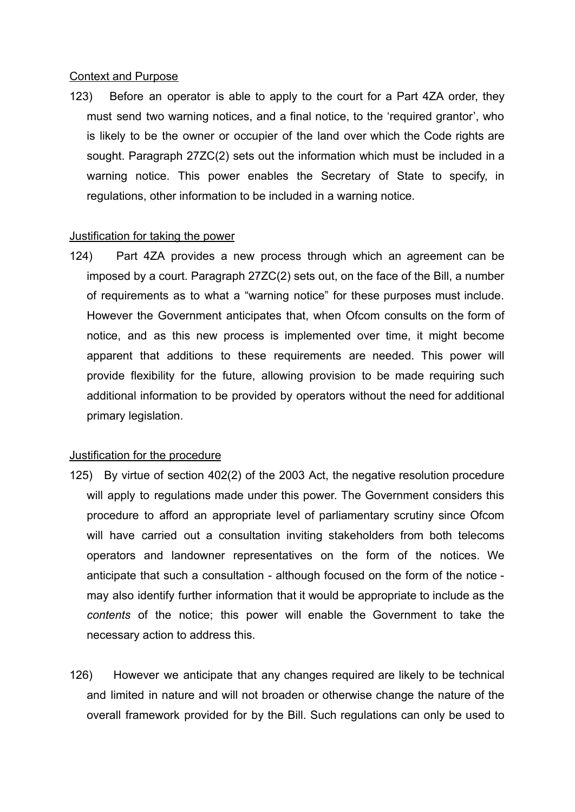#### Context and Purpose

123) Before an operator is able to apply to the court for a Part 4ZA order, they must send two warning notices, and a final notice, to the 'required grantor', who is likely to be the owner or occupier of the land over which the Code rights are sought. Paragraph 27ZC(2) sets out the information which must be included in a warning notice. This power enables the Secretary of State to specify, in regulations, other information to be included in a warning notice.

## Justification for taking the power

124) Part 4ZA provides a new process through which an agreement can be imposed by a court. Paragraph 27ZC(2) sets out, on the face of the Bill, a number of requirements as to what a "warning notice" for these purposes must include. However the Government anticipates that, when Ofcom consults on the form of notice, and as this new process is implemented over time, it might become apparent that additions to these requirements are needed. This power will provide flexibility for the future, allowing provision to be made requiring such additional information to be provided by operators without the need for additional primary legislation.

## Justification for the procedure

- 125) By virtue of section 402(2) of the 2003 Act, the negative resolution procedure will apply to regulations made under this power. The Government considers this procedure to afford an appropriate level of parliamentary scrutiny since Ofcom will have carried out a consultation inviting stakeholders from both telecoms operators and landowner representatives on the form of the notices. We anticipate that such a consultation - although focused on the form of the notice may also identify further information that it would be appropriate to include as the *contents* of the notice; this power will enable the Government to take the necessary action to address this.
- 126) However we anticipate that any changes required are likely to be technical and limited in nature and will not broaden or otherwise change the nature of the overall framework provided for by the Bill. Such regulations can only be used to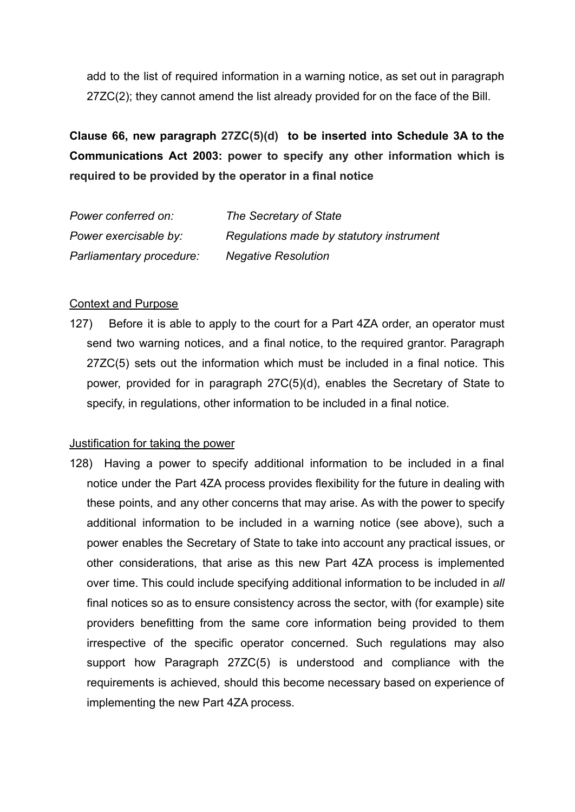add to the list of required information in a warning notice, as set out in paragraph 27ZC(2); they cannot amend the list already provided for on the face of the Bill.

**Clause 66, new paragraph 27ZC(5)(d) to be inserted into Schedule 3A to the Communications Act 2003: power to specify any other information which is required to be provided by the operator in a final notice**

| Power conferred on:      | The Secretary of State                   |
|--------------------------|------------------------------------------|
| Power exercisable by:    | Regulations made by statutory instrument |
| Parliamentary procedure: | <b>Negative Resolution</b>               |

### Context and Purpose

127) Before it is able to apply to the court for a Part 4ZA order, an operator must send two warning notices, and a final notice, to the required grantor. Paragraph 27ZC(5) sets out the information which must be included in a final notice. This power, provided for in paragraph 27C(5)(d), enables the Secretary of State to specify, in regulations, other information to be included in a final notice.

#### Justification for taking the power

128) Having a power to specify additional information to be included in a final notice under the Part 4ZA process provides flexibility for the future in dealing with these points, and any other concerns that may arise. As with the power to specify additional information to be included in a warning notice (see above), such a power enables the Secretary of State to take into account any practical issues, or other considerations, that arise as this new Part 4ZA process is implemented over time. This could include specifying additional information to be included in *all* final notices so as to ensure consistency across the sector, with (for example) site providers benefitting from the same core information being provided to them irrespective of the specific operator concerned. Such regulations may also support how Paragraph 27ZC(5) is understood and compliance with the requirements is achieved, should this become necessary based on experience of implementing the new Part 4ZA process.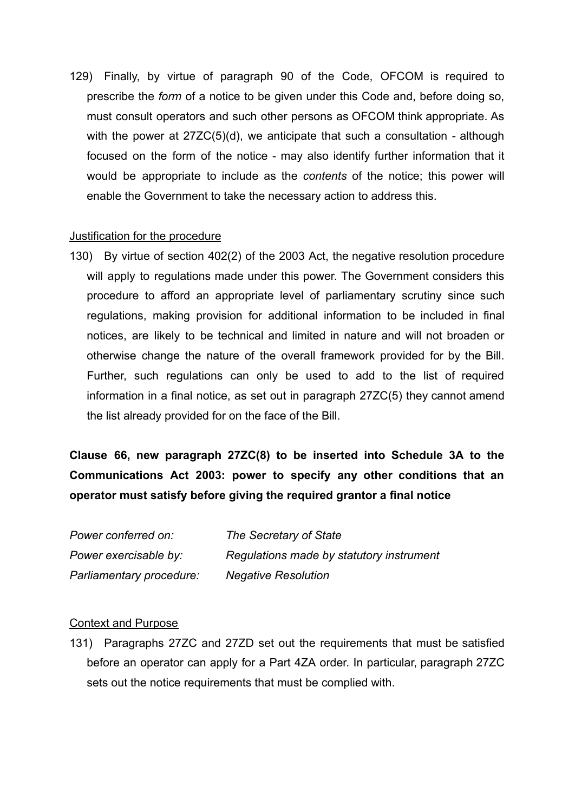129) Finally, by virtue of paragraph 90 of the Code, OFCOM is required to prescribe the *form* of a notice to be given under this Code and, before doing so, must consult operators and such other persons as OFCOM think appropriate. As with the power at 27ZC(5)(d), we anticipate that such a consultation - although focused on the form of the notice - may also identify further information that it would be appropriate to include as the *contents* of the notice; this power will enable the Government to take the necessary action to address this.

### Justification for the procedure

130) By virtue of section 402(2) of the 2003 Act, the negative resolution procedure will apply to regulations made under this power. The Government considers this procedure to afford an appropriate level of parliamentary scrutiny since such regulations, making provision for additional information to be included in final notices, are likely to be technical and limited in nature and will not broaden or otherwise change the nature of the overall framework provided for by the Bill. Further, such regulations can only be used to add to the list of required information in a final notice, as set out in paragraph 27ZC(5) they cannot amend the list already provided for on the face of the Bill.

**Clause 66, new paragraph 27ZC(8) to be inserted into Schedule 3A to the Communications Act 2003: power to specify any other conditions that an operator must satisfy before giving the required grantor a final notice**

| Power conferred on:      | The Secretary of State                   |
|--------------------------|------------------------------------------|
| Power exercisable by:    | Regulations made by statutory instrument |
| Parliamentary procedure: | <b>Negative Resolution</b>               |

#### Context and Purpose

131) Paragraphs 27ZC and 27ZD set out the requirements that must be satisfied before an operator can apply for a Part 4ZA order. In particular, paragraph 27ZC sets out the notice requirements that must be complied with.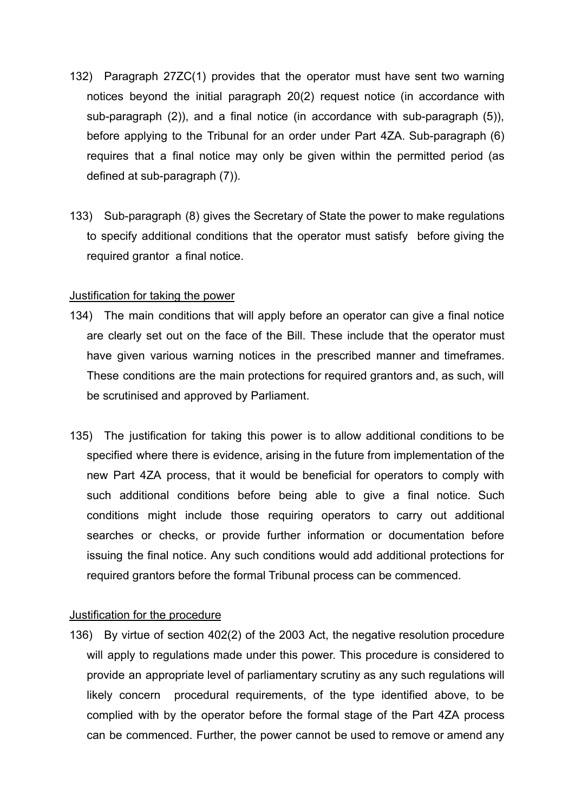- 132) Paragraph 27ZC(1) provides that the operator must have sent two warning notices beyond the initial paragraph 20(2) request notice (in accordance with sub-paragraph (2)), and a final notice (in accordance with sub-paragraph (5)), before applying to the Tribunal for an order under Part 4ZA. Sub-paragraph (6) requires that a final notice may only be given within the permitted period (as defined at sub-paragraph (7)).
- 133) Sub-paragraph (8) gives the Secretary of State the power to make regulations to specify additional conditions that the operator must satisfy before giving the required grantor a final notice.

### Justification for taking the power

- 134) The main conditions that will apply before an operator can give a final notice are clearly set out on the face of the Bill. These include that the operator must have given various warning notices in the prescribed manner and timeframes. These conditions are the main protections for required grantors and, as such, will be scrutinised and approved by Parliament.
- 135) The justification for taking this power is to allow additional conditions to be specified where there is evidence, arising in the future from implementation of the new Part 4ZA process, that it would be beneficial for operators to comply with such additional conditions before being able to give a final notice. Such conditions might include those requiring operators to carry out additional searches or checks, or provide further information or documentation before issuing the final notice. Any such conditions would add additional protections for required grantors before the formal Tribunal process can be commenced.

#### Justification for the procedure

136) By virtue of section 402(2) of the 2003 Act, the negative resolution procedure will apply to regulations made under this power. This procedure is considered to provide an appropriate level of parliamentary scrutiny as any such regulations will likely concern procedural requirements, of the type identified above, to be complied with by the operator before the formal stage of the Part 4ZA process can be commenced. Further, the power cannot be used to remove or amend any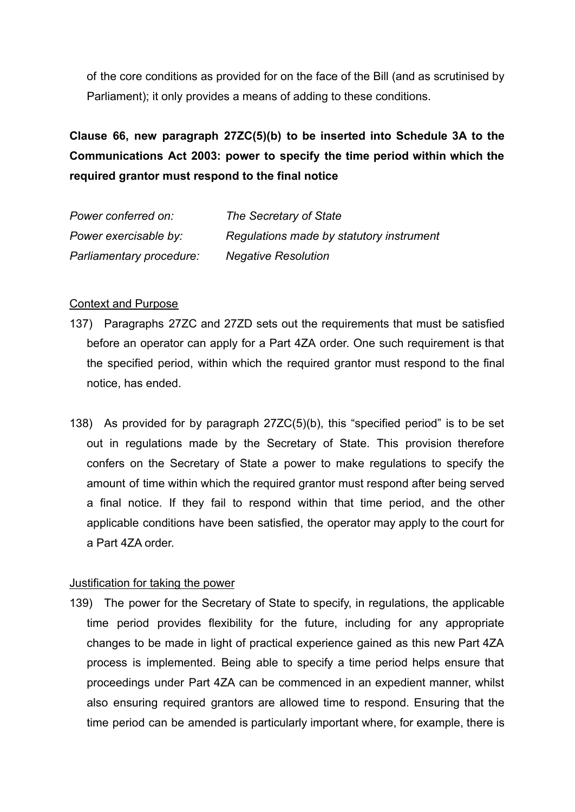of the core conditions as provided for on the face of the Bill (and as scrutinised by Parliament); it only provides a means of adding to these conditions.

# **Clause 66, new paragraph 27ZC(5)(b) to be inserted into Schedule 3A to the Communications Act 2003: power to specify the time period within which the required grantor must respond to the final notice**

| Power conferred on:      | The Secretary of State                   |
|--------------------------|------------------------------------------|
| Power exercisable by:    | Regulations made by statutory instrument |
| Parliamentary procedure: | <b>Negative Resolution</b>               |

## Context and Purpose

- 137) Paragraphs 27ZC and 27ZD sets out the requirements that must be satisfied before an operator can apply for a Part 4ZA order. One such requirement is that the specified period, within which the required grantor must respond to the final notice, has ended.
- 138) As provided for by paragraph 27ZC(5)(b), this "specified period" is to be set out in regulations made by the Secretary of State. This provision therefore confers on the Secretary of State a power to make regulations to specify the amount of time within which the required grantor must respond after being served a final notice. If they fail to respond within that time period, and the other applicable conditions have been satisfied, the operator may apply to the court for a Part 4ZA order.

#### Justification for taking the power

139) The power for the Secretary of State to specify, in regulations, the applicable time period provides flexibility for the future, including for any appropriate changes to be made in light of practical experience gained as this new Part 4ZA process is implemented. Being able to specify a time period helps ensure that proceedings under Part 4ZA can be commenced in an expedient manner, whilst also ensuring required grantors are allowed time to respond. Ensuring that the time period can be amended is particularly important where, for example, there is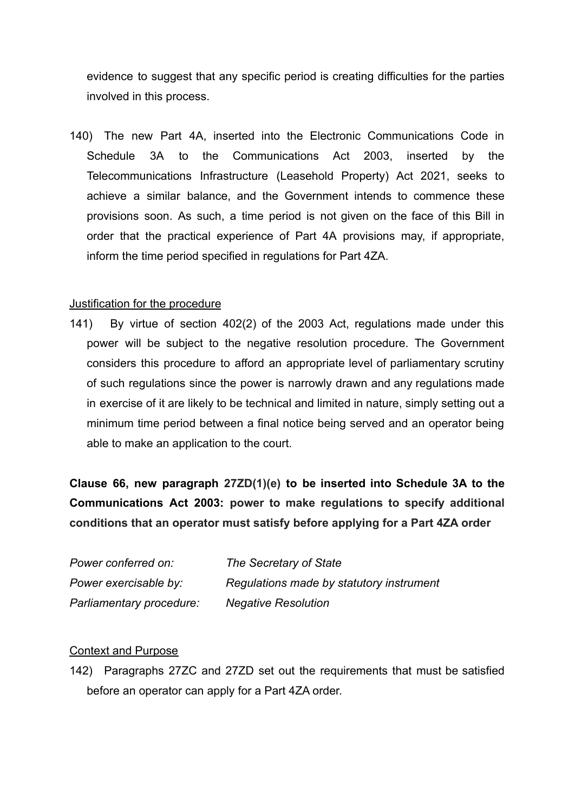evidence to suggest that any specific period is creating difficulties for the parties involved in this process.

140) The new Part 4A, inserted into the Electronic Communications Code in Schedule 3A to the Communications Act 2003, inserted by the Telecommunications Infrastructure (Leasehold Property) Act 2021, seeks to achieve a similar balance, and the Government intends to commence these provisions soon. As such, a time period is not given on the face of this Bill in order that the practical experience of Part 4A provisions may, if appropriate, inform the time period specified in regulations for Part 4ZA.

## Justification for the procedure

141) By virtue of section 402(2) of the 2003 Act, regulations made under this power will be subject to the negative resolution procedure. The Government considers this procedure to afford an appropriate level of parliamentary scrutiny of such regulations since the power is narrowly drawn and any regulations made in exercise of it are likely to be technical and limited in nature, simply setting out a minimum time period between a final notice being served and an operator being able to make an application to the court.

**Clause 66, new paragraph 27ZD(1)(e) to be inserted into Schedule 3A to the Communications Act 2003: power to make regulations to specify additional conditions that an operator must satisfy before applying for a Part 4ZA order**

| Power conferred on:      | The Secretary of State                   |
|--------------------------|------------------------------------------|
| Power exercisable by:    | Regulations made by statutory instrument |
| Parliamentary procedure: | <b>Negative Resolution</b>               |

## Context and Purpose

142) Paragraphs 27ZC and 27ZD set out the requirements that must be satisfied before an operator can apply for a Part 4ZA order.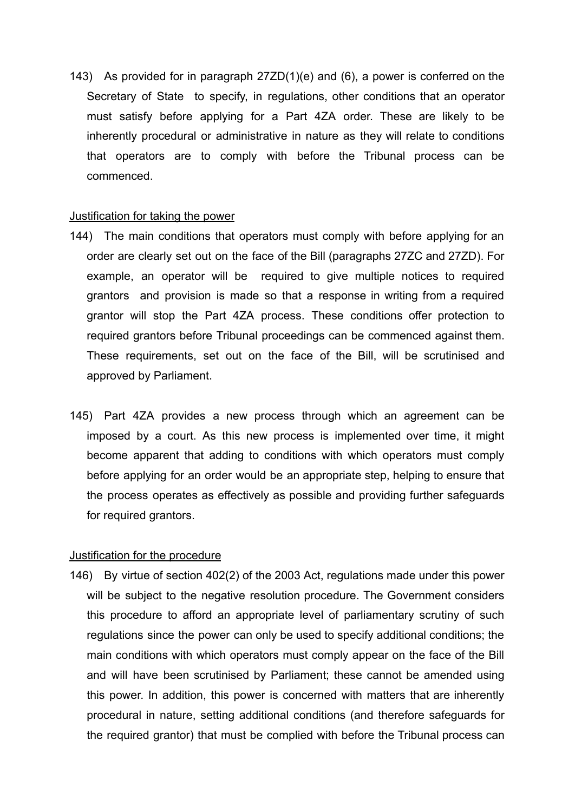143) As provided for in paragraph 27ZD(1)(e) and (6), a power is conferred on the Secretary of State to specify, in regulations, other conditions that an operator must satisfy before applying for a Part 4ZA order. These are likely to be inherently procedural or administrative in nature as they will relate to conditions that operators are to comply with before the Tribunal process can be commenced.

#### Justification for taking the power

- 144) The main conditions that operators must comply with before applying for an order are clearly set out on the face of the Bill (paragraphs 27ZC and 27ZD). For example, an operator will be required to give multiple notices to required grantors and provision is made so that a response in writing from a required grantor will stop the Part 4ZA process. These conditions offer protection to required grantors before Tribunal proceedings can be commenced against them. These requirements, set out on the face of the Bill, will be scrutinised and approved by Parliament.
- 145) Part 4ZA provides a new process through which an agreement can be imposed by a court. As this new process is implemented over time, it might become apparent that adding to conditions with which operators must comply before applying for an order would be an appropriate step, helping to ensure that the process operates as effectively as possible and providing further safeguards for required grantors.

#### Justification for the procedure

146) By virtue of section 402(2) of the 2003 Act, regulations made under this power will be subject to the negative resolution procedure. The Government considers this procedure to afford an appropriate level of parliamentary scrutiny of such regulations since the power can only be used to specify additional conditions; the main conditions with which operators must comply appear on the face of the Bill and will have been scrutinised by Parliament; these cannot be amended using this power. In addition, this power is concerned with matters that are inherently procedural in nature, setting additional conditions (and therefore safeguards for the required grantor) that must be complied with before the Tribunal process can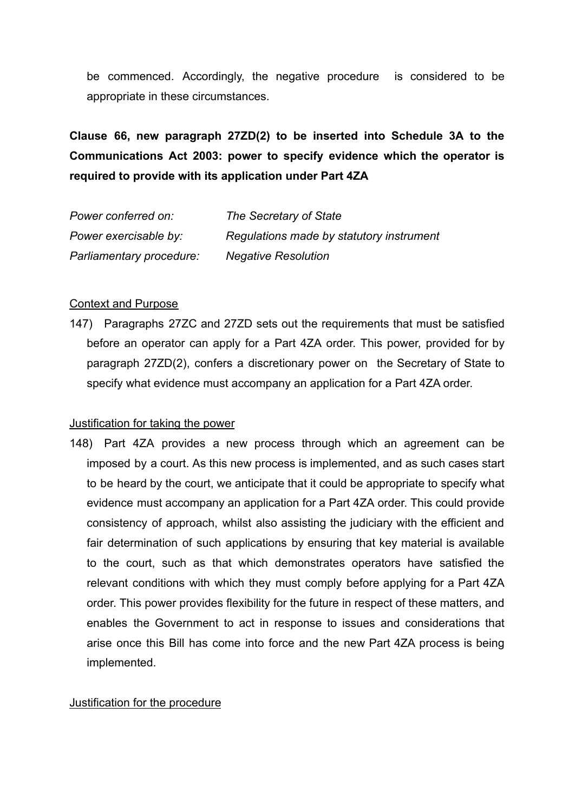be commenced. Accordingly, the negative procedure is considered to be appropriate in these circumstances.

**Clause 66, new paragraph 27ZD(2) to be inserted into Schedule 3A to the Communications Act 2003: power to specify evidence which the operator is required to provide with its application under Part 4ZA**

| Power conferred on:      | The Secretary of State                   |
|--------------------------|------------------------------------------|
| Power exercisable by:    | Regulations made by statutory instrument |
| Parliamentary procedure: | <b>Negative Resolution</b>               |

## Context and Purpose

147) Paragraphs 27ZC and 27ZD sets out the requirements that must be satisfied before an operator can apply for a Part 4ZA order. This power, provided for by paragraph 27ZD(2), confers a discretionary power on the Secretary of State to specify what evidence must accompany an application for a Part 4ZA order.

## Justification for taking the power

148) Part 4ZA provides a new process through which an agreement can be imposed by a court. As this new process is implemented, and as such cases start to be heard by the court, we anticipate that it could be appropriate to specify what evidence must accompany an application for a Part 4ZA order. This could provide consistency of approach, whilst also assisting the judiciary with the efficient and fair determination of such applications by ensuring that key material is available to the court, such as that which demonstrates operators have satisfied the relevant conditions with which they must comply before applying for a Part 4ZA order. This power provides flexibility for the future in respect of these matters, and enables the Government to act in response to issues and considerations that arise once this Bill has come into force and the new Part 4ZA process is being implemented.

## Justification for the procedure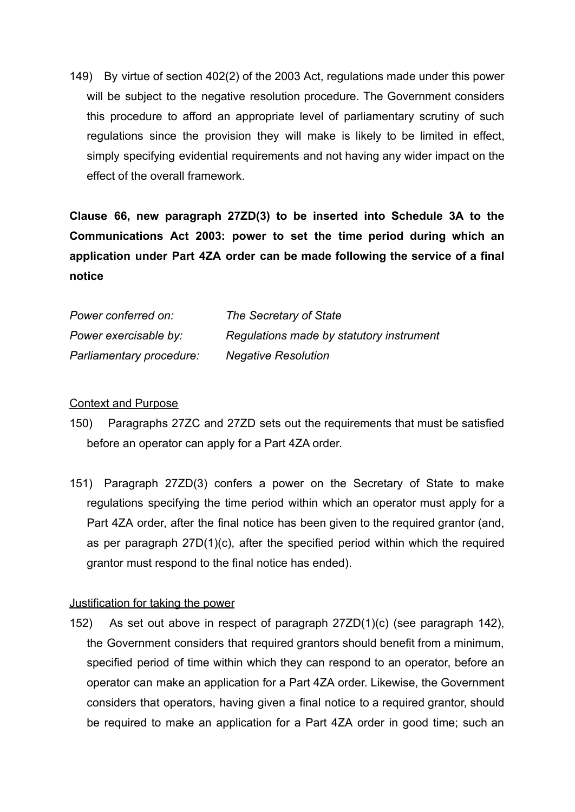149) By virtue of section 402(2) of the 2003 Act, regulations made under this power will be subject to the negative resolution procedure. The Government considers this procedure to afford an appropriate level of parliamentary scrutiny of such regulations since the provision they will make is likely to be limited in effect, simply specifying evidential requirements and not having any wider impact on the effect of the overall framework.

**Clause 66, new paragraph 27ZD(3) to be inserted into Schedule 3A to the Communications Act 2003: power to set the time period during which an application under Part 4ZA order can be made following the service of a final notice**

| Power conferred on:      | The Secretary of State                   |
|--------------------------|------------------------------------------|
| Power exercisable by:    | Regulations made by statutory instrument |
| Parliamentary procedure: | <b>Negative Resolution</b>               |

## Context and Purpose

- 150) Paragraphs 27ZC and 27ZD sets out the requirements that must be satisfied before an operator can apply for a Part 4ZA order.
- 151) Paragraph 27ZD(3) confers a power on the Secretary of State to make regulations specifying the time period within which an operator must apply for a Part 4ZA order, after the final notice has been given to the required grantor (and, as per paragraph 27D(1)(c), after the specified period within which the required grantor must respond to the final notice has ended).

## Justification for taking the power

152) As set out above in respect of paragraph 27ZD(1)(c) (see paragraph 142), the Government considers that required grantors should benefit from a minimum, specified period of time within which they can respond to an operator, before an operator can make an application for a Part 4ZA order. Likewise, the Government considers that operators, having given a final notice to a required grantor, should be required to make an application for a Part 4ZA order in good time; such an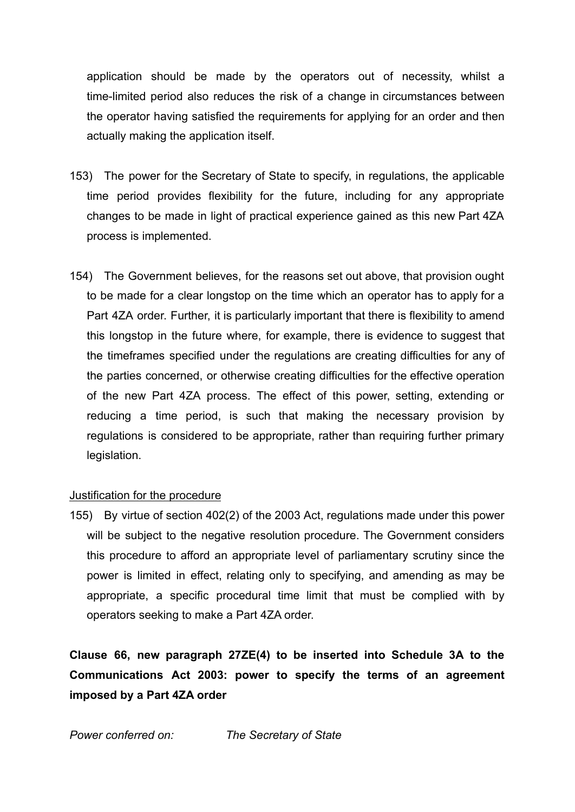application should be made by the operators out of necessity, whilst a time-limited period also reduces the risk of a change in circumstances between the operator having satisfied the requirements for applying for an order and then actually making the application itself.

- 153) The power for the Secretary of State to specify, in regulations, the applicable time period provides flexibility for the future, including for any appropriate changes to be made in light of practical experience gained as this new Part 4ZA process is implemented.
- 154) The Government believes, for the reasons set out above, that provision ought to be made for a clear longstop on the time which an operator has to apply for a Part 4ZA order. Further, it is particularly important that there is flexibility to amend this longstop in the future where, for example, there is evidence to suggest that the timeframes specified under the regulations are creating difficulties for any of the parties concerned, or otherwise creating difficulties for the effective operation of the new Part 4ZA process. The effect of this power, setting, extending or reducing a time period, is such that making the necessary provision by regulations is considered to be appropriate, rather than requiring further primary legislation.

## Justification for the procedure

155) By virtue of section 402(2) of the 2003 Act, regulations made under this power will be subject to the negative resolution procedure. The Government considers this procedure to afford an appropriate level of parliamentary scrutiny since the power is limited in effect, relating only to specifying, and amending as may be appropriate, a specific procedural time limit that must be complied with by operators seeking to make a Part 4ZA order.

**Clause 66, new paragraph 27ZE(4) to be inserted into Schedule 3A to the Communications Act 2003: power to specify the terms of an agreement imposed by a Part 4ZA order**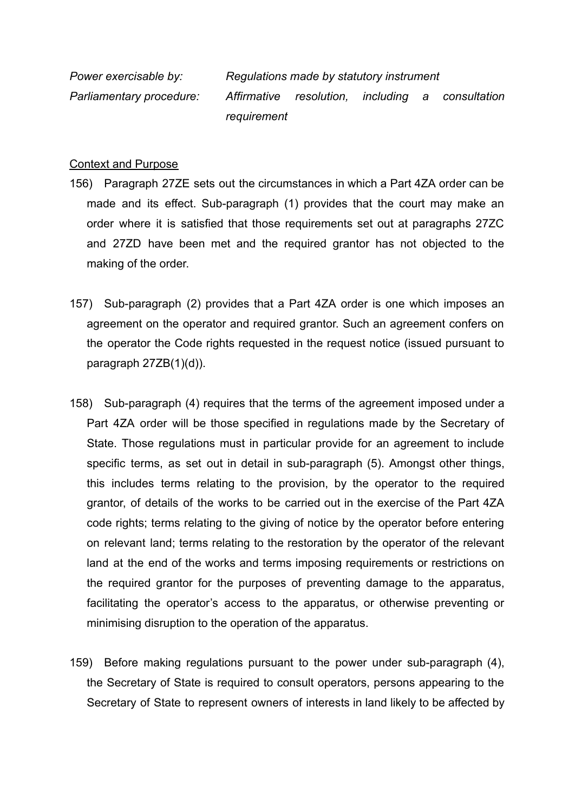*Power exercisable by: Regulations made by statutory instrument Parliamentary procedure: Affirmative resolution, including a consultation requirement*

### Context and Purpose

- 156) Paragraph 27ZE sets out the circumstances in which a Part 4ZA order can be made and its effect. Sub-paragraph (1) provides that the court may make an order where it is satisfied that those requirements set out at paragraphs 27ZC and 27ZD have been met and the required grantor has not objected to the making of the order.
- 157) Sub-paragraph (2) provides that a Part 4ZA order is one which imposes an agreement on the operator and required grantor. Such an agreement confers on the operator the Code rights requested in the request notice (issued pursuant to paragraph 27ZB(1)(d)).
- 158) Sub-paragraph (4) requires that the terms of the agreement imposed under a Part 4ZA order will be those specified in regulations made by the Secretary of State. Those regulations must in particular provide for an agreement to include specific terms, as set out in detail in sub-paragraph (5). Amongst other things, this includes terms relating to the provision, by the operator to the required grantor, of details of the works to be carried out in the exercise of the Part 4ZA code rights; terms relating to the giving of notice by the operator before entering on relevant land; terms relating to the restoration by the operator of the relevant land at the end of the works and terms imposing requirements or restrictions on the required grantor for the purposes of preventing damage to the apparatus, facilitating the operator's access to the apparatus, or otherwise preventing or minimising disruption to the operation of the apparatus.
- 159) Before making regulations pursuant to the power under sub-paragraph (4), the Secretary of State is required to consult operators, persons appearing to the Secretary of State to represent owners of interests in land likely to be affected by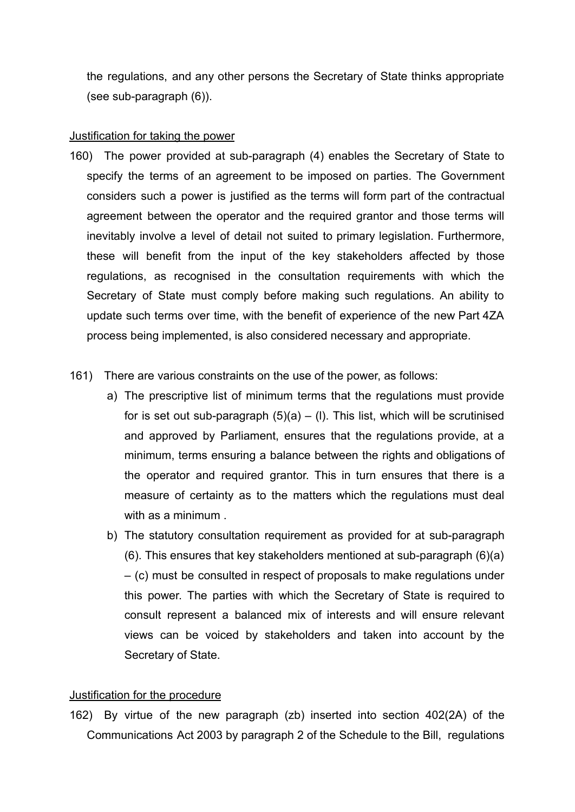the regulations, and any other persons the Secretary of State thinks appropriate (see sub-paragraph (6)).

### Justification for taking the power

- 160) The power provided at sub-paragraph (4) enables the Secretary of State to specify the terms of an agreement to be imposed on parties. The Government considers such a power is justified as the terms will form part of the contractual agreement between the operator and the required grantor and those terms will inevitably involve a level of detail not suited to primary legislation. Furthermore, these will benefit from the input of the key stakeholders affected by those regulations, as recognised in the consultation requirements with which the Secretary of State must comply before making such regulations. An ability to update such terms over time, with the benefit of experience of the new Part 4ZA process being implemented, is also considered necessary and appropriate.
- 161) There are various constraints on the use of the power, as follows:
	- a) The prescriptive list of minimum terms that the regulations must provide for is set out sub-paragraph  $(5)(a) - (1)$ . This list, which will be scrutinised and approved by Parliament, ensures that the regulations provide, at a minimum, terms ensuring a balance between the rights and obligations of the operator and required grantor. This in turn ensures that there is a measure of certainty as to the matters which the regulations must deal with as a minimum.
	- b) The statutory consultation requirement as provided for at sub-paragraph (6). This ensures that key stakeholders mentioned at sub-paragraph (6)(a) – (c) must be consulted in respect of proposals to make regulations under this power. The parties with which the Secretary of State is required to consult represent a balanced mix of interests and will ensure relevant views can be voiced by stakeholders and taken into account by the Secretary of State.

## Justification for the procedure

162) By virtue of the new paragraph (zb) inserted into section 402(2A) of the Communications Act 2003 by paragraph 2 of the Schedule to the Bill, regulations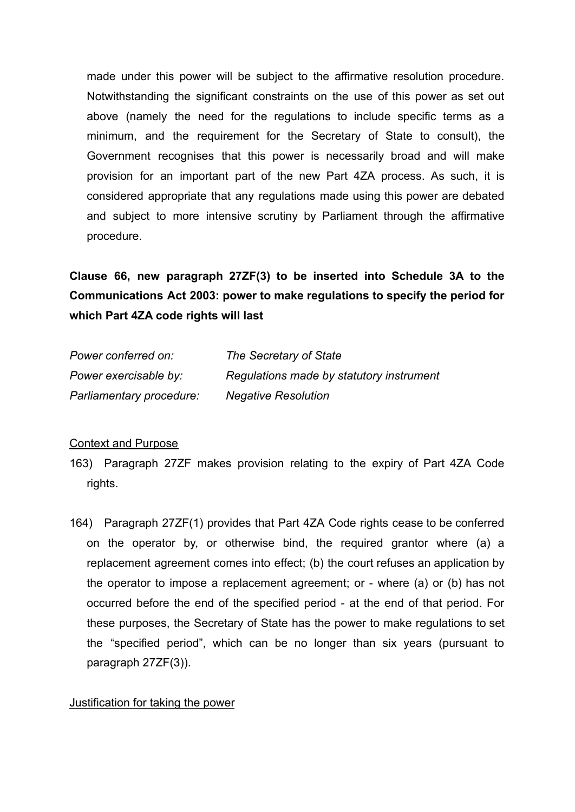made under this power will be subject to the affirmative resolution procedure. Notwithstanding the significant constraints on the use of this power as set out above (namely the need for the regulations to include specific terms as a minimum, and the requirement for the Secretary of State to consult), the Government recognises that this power is necessarily broad and will make provision for an important part of the new Part 4ZA process. As such, it is considered appropriate that any regulations made using this power are debated and subject to more intensive scrutiny by Parliament through the affirmative procedure.

**Clause 66, new paragraph 27ZF(3) to be inserted into Schedule 3A to the Communications Act 2003: power to make regulations to specify the period for which Part 4ZA code rights will last**

| Power conferred on:      | The Secretary of State                   |
|--------------------------|------------------------------------------|
| Power exercisable by:    | Regulations made by statutory instrument |
| Parliamentary procedure: | <b>Negative Resolution</b>               |

#### Context and Purpose

- 163) Paragraph 27ZF makes provision relating to the expiry of Part 4ZA Code rights.
- 164) Paragraph 27ZF(1) provides that Part 4ZA Code rights cease to be conferred on the operator by, or otherwise bind, the required grantor where (a) a replacement agreement comes into effect; (b) the court refuses an application by the operator to impose a replacement agreement; or - where (a) or (b) has not occurred before the end of the specified period - at the end of that period. For these purposes, the Secretary of State has the power to make regulations to set the "specified period", which can be no longer than six years (pursuant to paragraph 27ZF(3)).

#### Justification for taking the power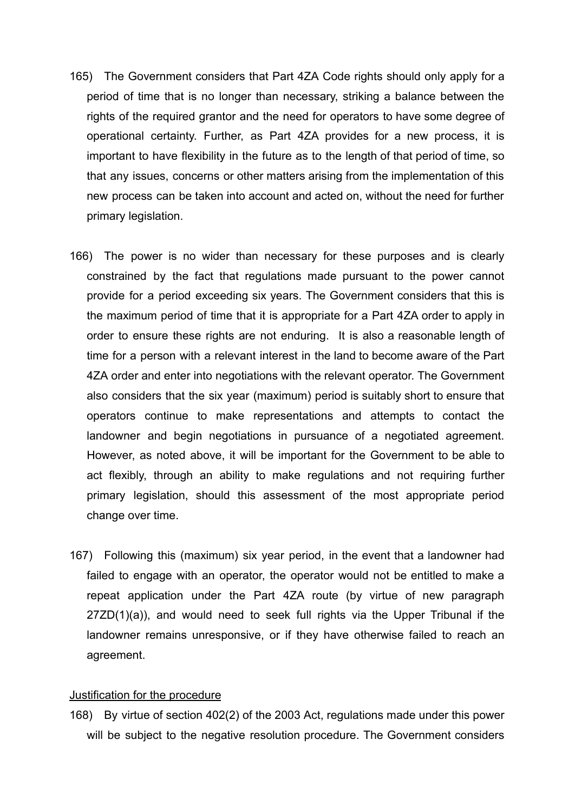- 165) The Government considers that Part 4ZA Code rights should only apply for a period of time that is no longer than necessary, striking a balance between the rights of the required grantor and the need for operators to have some degree of operational certainty. Further, as Part 4ZA provides for a new process, it is important to have flexibility in the future as to the length of that period of time, so that any issues, concerns or other matters arising from the implementation of this new process can be taken into account and acted on, without the need for further primary legislation.
- 166) The power is no wider than necessary for these purposes and is clearly constrained by the fact that regulations made pursuant to the power cannot provide for a period exceeding six years. The Government considers that this is the maximum period of time that it is appropriate for a Part 4ZA order to apply in order to ensure these rights are not enduring. It is also a reasonable length of time for a person with a relevant interest in the land to become aware of the Part 4ZA order and enter into negotiations with the relevant operator. The Government also considers that the six year (maximum) period is suitably short to ensure that operators continue to make representations and attempts to contact the landowner and begin negotiations in pursuance of a negotiated agreement. However, as noted above, it will be important for the Government to be able to act flexibly, through an ability to make regulations and not requiring further primary legislation, should this assessment of the most appropriate period change over time.
- 167) Following this (maximum) six year period, in the event that a landowner had failed to engage with an operator, the operator would not be entitled to make a repeat application under the Part 4ZA route (by virtue of new paragraph 27ZD(1)(a)), and would need to seek full rights via the Upper Tribunal if the landowner remains unresponsive, or if they have otherwise failed to reach an agreement.

#### Justification for the procedure

168) By virtue of section 402(2) of the 2003 Act, regulations made under this power will be subject to the negative resolution procedure. The Government considers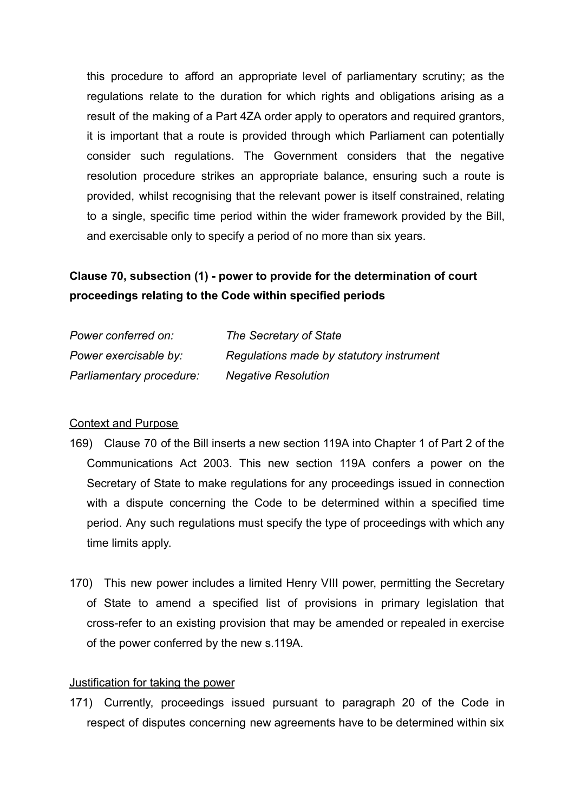this procedure to afford an appropriate level of parliamentary scrutiny; as the regulations relate to the duration for which rights and obligations arising as a result of the making of a Part 4ZA order apply to operators and required grantors, it is important that a route is provided through which Parliament can potentially consider such regulations. The Government considers that the negative resolution procedure strikes an appropriate balance, ensuring such a route is provided, whilst recognising that the relevant power is itself constrained, relating to a single, specific time period within the wider framework provided by the Bill, and exercisable only to specify a period of no more than six years.

# **Clause 70, subsection (1) - power to provide for the determination of court proceedings relating to the Code within specified periods**

| Power conferred on:      | The Secretary of State                   |
|--------------------------|------------------------------------------|
| Power exercisable by:    | Regulations made by statutory instrument |
| Parliamentary procedure: | <b>Negative Resolution</b>               |

#### Context and Purpose

- 169) Clause 70 of the Bill inserts a new section 119A into Chapter 1 of Part 2 of the Communications Act 2003. This new section 119A confers a power on the Secretary of State to make regulations for any proceedings issued in connection with a dispute concerning the Code to be determined within a specified time period. Any such regulations must specify the type of proceedings with which any time limits apply.
- 170) This new power includes a limited Henry VIII power, permitting the Secretary of State to amend a specified list of provisions in primary legislation that cross-refer to an existing provision that may be amended or repealed in exercise of the power conferred by the new s.119A.

### Justification for taking the power

171) Currently, proceedings issued pursuant to paragraph 20 of the Code in respect of disputes concerning new agreements have to be determined within six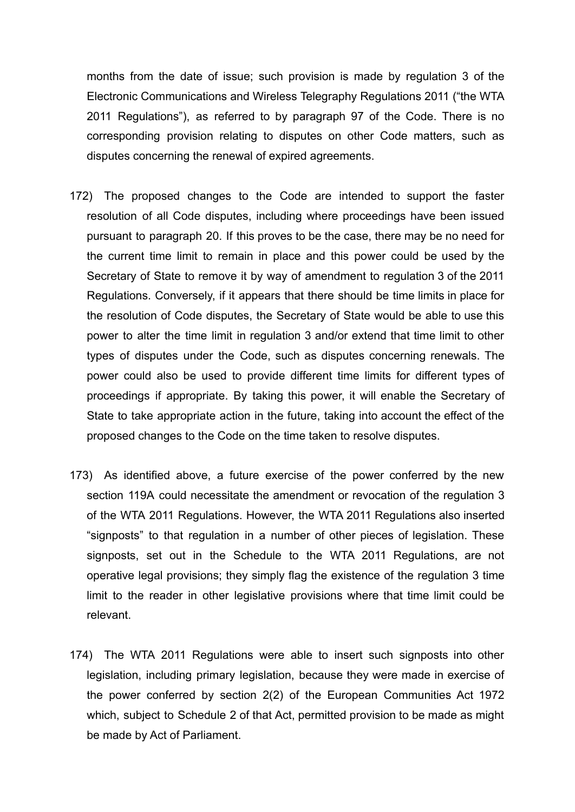months from the date of issue; such provision is made by regulation 3 of the Electronic Communications and Wireless Telegraphy Regulations 2011 ("the WTA 2011 Regulations"), as referred to by paragraph 97 of the Code. There is no corresponding provision relating to disputes on other Code matters, such as disputes concerning the renewal of expired agreements.

- 172) The proposed changes to the Code are intended to support the faster resolution of all Code disputes, including where proceedings have been issued pursuant to paragraph 20. If this proves to be the case, there may be no need for the current time limit to remain in place and this power could be used by the Secretary of State to remove it by way of amendment to regulation 3 of the 2011 Regulations. Conversely, if it appears that there should be time limits in place for the resolution of Code disputes, the Secretary of State would be able to use this power to alter the time limit in regulation 3 and/or extend that time limit to other types of disputes under the Code, such as disputes concerning renewals. The power could also be used to provide different time limits for different types of proceedings if appropriate. By taking this power, it will enable the Secretary of State to take appropriate action in the future, taking into account the effect of the proposed changes to the Code on the time taken to resolve disputes.
- 173) As identified above, a future exercise of the power conferred by the new section 119A could necessitate the amendment or revocation of the regulation 3 of the WTA 2011 Regulations. However, the WTA 2011 Regulations also inserted "signposts" to that regulation in a number of other pieces of legislation. These signposts, set out in the Schedule to the WTA 2011 Regulations, are not operative legal provisions; they simply flag the existence of the regulation 3 time limit to the reader in other legislative provisions where that time limit could be relevant.
- 174) The WTA 2011 Regulations were able to insert such signposts into other legislation, including primary legislation, because they were made in exercise of the power conferred by section 2(2) of the European Communities Act 1972 which, subject to Schedule 2 of that Act, permitted provision to be made as might be made by Act of Parliament.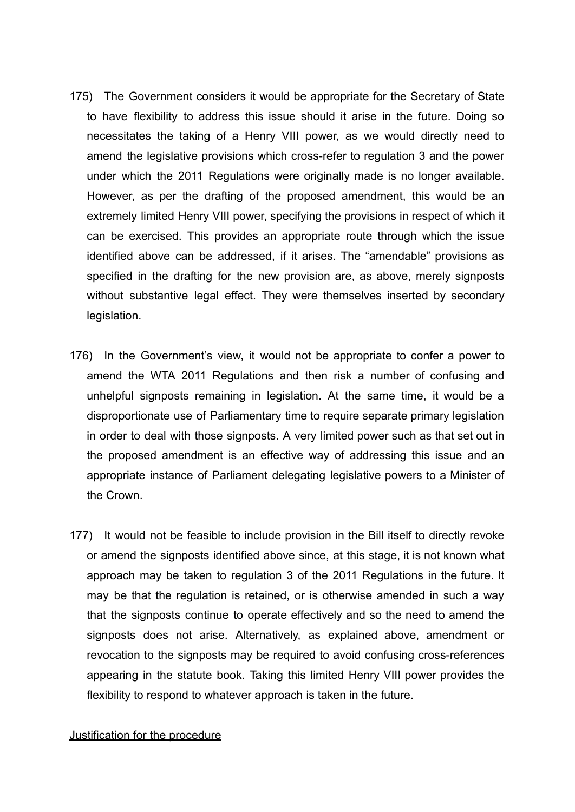- 175) The Government considers it would be appropriate for the Secretary of State to have flexibility to address this issue should it arise in the future. Doing so necessitates the taking of a Henry VIII power, as we would directly need to amend the legislative provisions which cross-refer to regulation 3 and the power under which the 2011 Regulations were originally made is no longer available. However, as per the drafting of the proposed amendment, this would be an extremely limited Henry VIII power, specifying the provisions in respect of which it can be exercised. This provides an appropriate route through which the issue identified above can be addressed, if it arises. The "amendable" provisions as specified in the drafting for the new provision are, as above, merely signposts without substantive legal effect. They were themselves inserted by secondary legislation.
- 176) In the Government's view, it would not be appropriate to confer a power to amend the WTA 2011 Regulations and then risk a number of confusing and unhelpful signposts remaining in legislation. At the same time, it would be a disproportionate use of Parliamentary time to require separate primary legislation in order to deal with those signposts. A very limited power such as that set out in the proposed amendment is an effective way of addressing this issue and an appropriate instance of Parliament delegating legislative powers to a Minister of the Crown.
- 177) It would not be feasible to include provision in the Bill itself to directly revoke or amend the signposts identified above since, at this stage, it is not known what approach may be taken to regulation 3 of the 2011 Regulations in the future. It may be that the regulation is retained, or is otherwise amended in such a way that the signposts continue to operate effectively and so the need to amend the signposts does not arise. Alternatively, as explained above, amendment or revocation to the signposts may be required to avoid confusing cross-references appearing in the statute book. Taking this limited Henry VIII power provides the flexibility to respond to whatever approach is taken in the future.

#### Justification for the procedure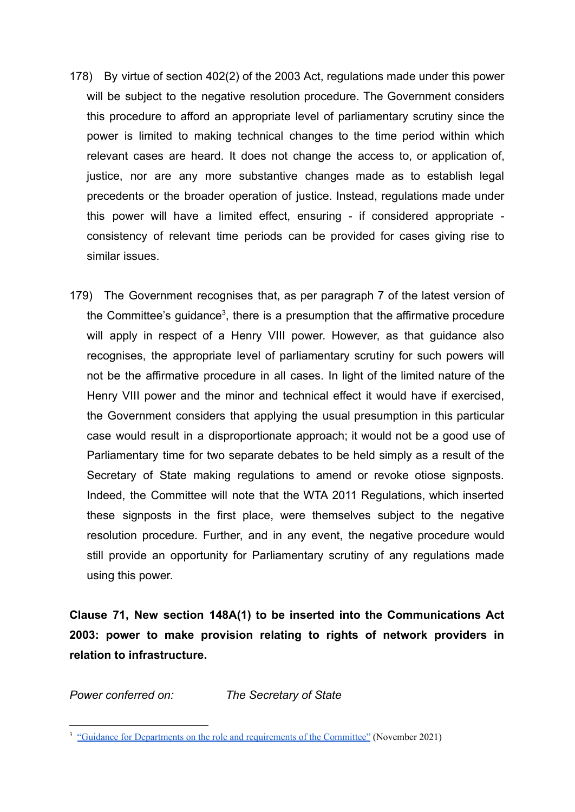- 178) By virtue of section 402(2) of the 2003 Act, regulations made under this power will be subject to the negative resolution procedure. The Government considers this procedure to afford an appropriate level of parliamentary scrutiny since the power is limited to making technical changes to the time period within which relevant cases are heard. It does not change the access to, or application of, justice, nor are any more substantive changes made as to establish legal precedents or the broader operation of justice. Instead, regulations made under this power will have a limited effect, ensuring - if considered appropriate consistency of relevant time periods can be provided for cases giving rise to similar issues.
- 179) The Government recognises that, as per paragraph 7 of the latest version of the Committee's guidance<sup>3</sup>, there is a presumption that the affirmative procedure will apply in respect of a Henry VIII power. However, as that guidance also recognises, the appropriate level of parliamentary scrutiny for such powers will not be the affirmative procedure in all cases. In light of the limited nature of the Henry VIII power and the minor and technical effect it would have if exercised, the Government considers that applying the usual presumption in this particular case would result in a disproportionate approach; it would not be a good use of Parliamentary time for two separate debates to be held simply as a result of the Secretary of State making regulations to amend or revoke otiose signposts. Indeed, the Committee will note that the WTA 2011 Regulations, which inserted these signposts in the first place, were themselves subject to the negative resolution procedure. Further, and in any event, the negative procedure would still provide an opportunity for Parliamentary scrutiny of any regulations made using this power.

**Clause 71, New section 148A(1) to be inserted into the Communications Act 2003: power to make provision relating to rights of network providers in relation to infrastructure.**

*Power conferred on: The Secretary of State*

<sup>&</sup>lt;sup>3</sup> "Guidance for Departments on the role and [requirements](https://committees.parliament.uk/publications/8225/documents/84262/default/) of the Committee" (November 2021)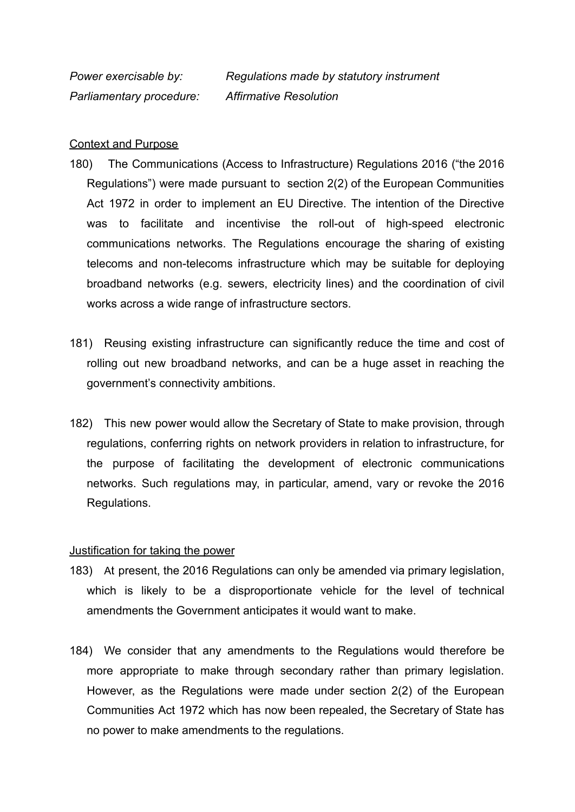*Power exercisable by: Regulations made by statutory instrument Parliamentary procedure: Affirmative Resolution*

#### Context and Purpose

- 180) The Communications (Access to Infrastructure) Regulations 2016 ("the 2016 Regulations") were made pursuant to section 2(2) of the European Communities Act 1972 in order to implement an EU Directive. The intention of the Directive was to facilitate and incentivise the roll-out of high-speed electronic communications networks. The Regulations encourage the sharing of existing telecoms and non-telecoms infrastructure which may be suitable for deploying broadband networks (e.g. sewers, electricity lines) and the coordination of civil works across a wide range of infrastructure sectors.
- 181) Reusing existing infrastructure can significantly reduce the time and cost of rolling out new broadband networks, and can be a huge asset in reaching the government's connectivity ambitions.
- 182) This new power would allow the Secretary of State to make provision, through regulations, conferring rights on network providers in relation to infrastructure, for the purpose of facilitating the development of electronic communications networks. Such regulations may, in particular, amend, vary or revoke the 2016 Regulations.

#### Justification for taking the power

- 183) At present, the 2016 Regulations can only be amended via primary legislation, which is likely to be a disproportionate vehicle for the level of technical amendments the Government anticipates it would want to make.
- 184) We consider that any amendments to the Regulations would therefore be more appropriate to make through secondary rather than primary legislation. However, as the Regulations were made under section 2(2) of the European Communities Act 1972 which has now been repealed, the Secretary of State has no power to make amendments to the regulations.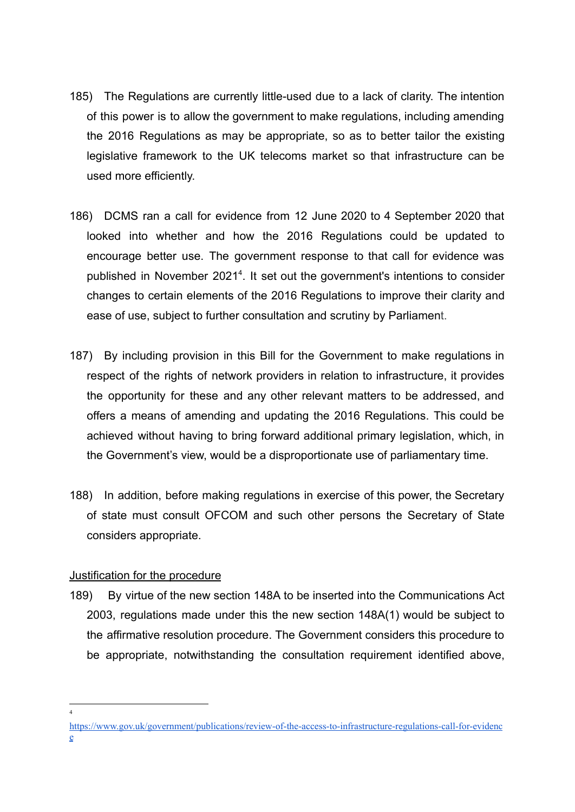- 185) The Regulations are currently little-used due to a lack of clarity. The intention of this power is to allow the government to make regulations, including amending the 2016 Regulations as may be appropriate, so as to better tailor the existing legislative framework to the UK telecoms market so that infrastructure can be used more efficiently.
- 186) DCMS ran a call for evidence from 12 June 2020 to 4 September 2020 that looked into whether and how the 2016 Regulations could be updated to encourage better use. The government response to that call for evidence was published in November 2021<sup>4</sup>. It set out the government's intentions to consider changes to certain elements of the 2016 Regulations to improve their clarity and ease of use, subject to further consultation and scrutiny by Parliament.
- 187) By including provision in this Bill for the Government to make regulations in respect of the rights of network providers in relation to infrastructure, it provides the opportunity for these and any other relevant matters to be addressed, and offers a means of amending and updating the 2016 Regulations. This could be achieved without having to bring forward additional primary legislation, which, in the Government's view, would be a disproportionate use of parliamentary time.
- 188) In addition, before making regulations in exercise of this power, the Secretary of state must consult OFCOM and such other persons the Secretary of State considers appropriate.

## Justification for the procedure

4

189) By virtue of the new section 148A to be inserted into the Communications Act 2003, regulations made under this the new section 148A(1) would be subject to the affirmative resolution procedure. The Government considers this procedure to be appropriate, notwithstanding the consultation requirement identified above,

[https://www.gov.uk/government/publications/review-of-the-access-to-infrastructure-regulations-call-for-evidenc](https://www.gov.uk/government/publications/review-of-the-access-to-infrastructure-regulations-call-for-evidence) [e](https://www.gov.uk/government/publications/review-of-the-access-to-infrastructure-regulations-call-for-evidence)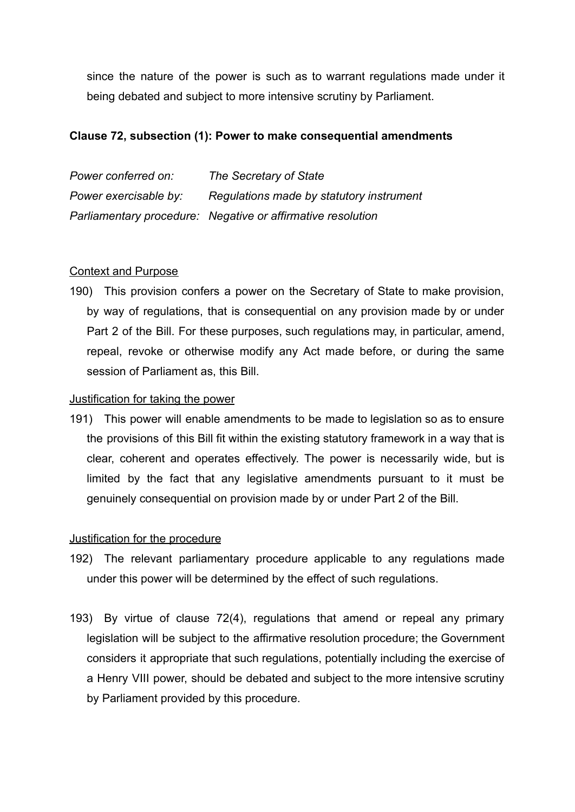since the nature of the power is such as to warrant regulations made under it being debated and subject to more intensive scrutiny by Parliament.

## **Clause 72, subsection (1): Power to make consequential amendments**

| Power conferred on:   | The Secretary of State                                      |
|-----------------------|-------------------------------------------------------------|
| Power exercisable by: | Regulations made by statutory instrument                    |
|                       | Parliamentary procedure: Negative or affirmative resolution |

## Context and Purpose

190) This provision confers a power on the Secretary of State to make provision, by way of regulations, that is consequential on any provision made by or under Part 2 of the Bill. For these purposes, such regulations may, in particular, amend, repeal, revoke or otherwise modify any Act made before, or during the same session of Parliament as, this Bill.

## Justification for taking the power

191) This power will enable amendments to be made to legislation so as to ensure the provisions of this Bill fit within the existing statutory framework in a way that is clear, coherent and operates effectively. The power is necessarily wide, but is limited by the fact that any legislative amendments pursuant to it must be genuinely consequential on provision made by or under Part 2 of the Bill.

## Justification for the procedure

- 192) The relevant parliamentary procedure applicable to any regulations made under this power will be determined by the effect of such regulations.
- 193) By virtue of clause 72(4), regulations that amend or repeal any primary legislation will be subject to the affirmative resolution procedure; the Government considers it appropriate that such regulations, potentially including the exercise of a Henry VIII power, should be debated and subject to the more intensive scrutiny by Parliament provided by this procedure.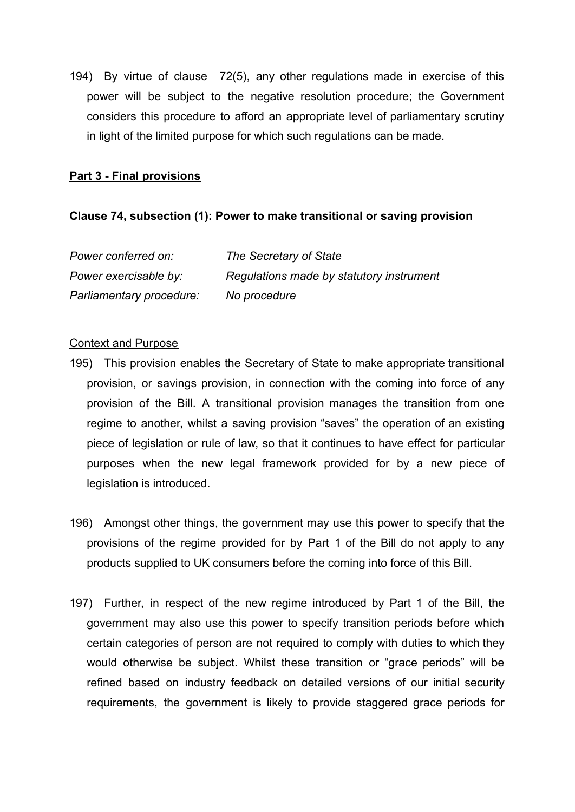194) By virtue of clause 72(5), any other regulations made in exercise of this power will be subject to the negative resolution procedure; the Government considers this procedure to afford an appropriate level of parliamentary scrutiny in light of the limited purpose for which such regulations can be made.

### **Part 3 - Final provisions**

#### **Clause 74, subsection (1): Power to make transitional or saving provision**

| Power conferred on:      | The Secretary of State                   |
|--------------------------|------------------------------------------|
| Power exercisable by:    | Regulations made by statutory instrument |
| Parliamentary procedure: | No procedure                             |

#### Context and Purpose

- 195) This provision enables the Secretary of State to make appropriate transitional provision, or savings provision, in connection with the coming into force of any provision of the Bill. A transitional provision manages the transition from one regime to another, whilst a saving provision "saves" the operation of an existing piece of legislation or rule of law, so that it continues to have effect for particular purposes when the new legal framework provided for by a new piece of legislation is introduced.
- 196) Amongst other things, the government may use this power to specify that the provisions of the regime provided for by Part 1 of the Bill do not apply to any products supplied to UK consumers before the coming into force of this Bill.
- 197) Further, in respect of the new regime introduced by Part 1 of the Bill, the government may also use this power to specify transition periods before which certain categories of person are not required to comply with duties to which they would otherwise be subject. Whilst these transition or "grace periods" will be refined based on industry feedback on detailed versions of our initial security requirements, the government is likely to provide staggered grace periods for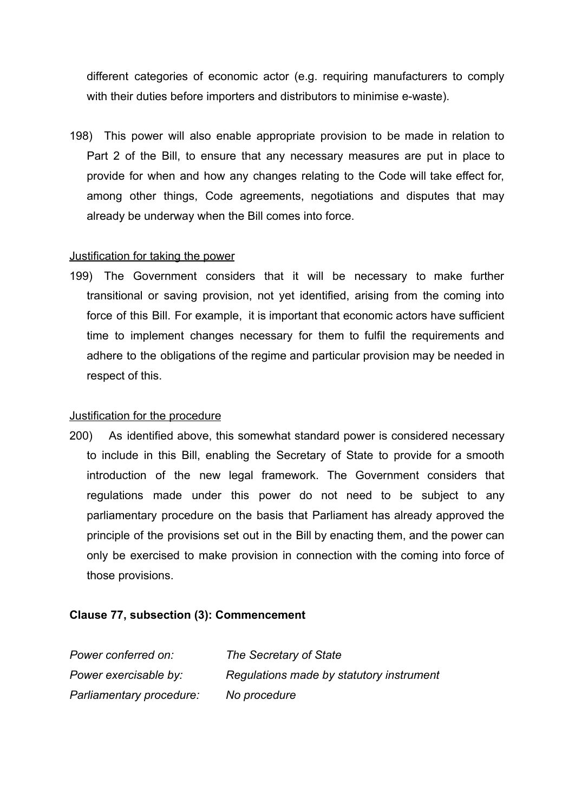different categories of economic actor (e.g. requiring manufacturers to comply with their duties before importers and distributors to minimise e-waste).

198) This power will also enable appropriate provision to be made in relation to Part 2 of the Bill, to ensure that any necessary measures are put in place to provide for when and how any changes relating to the Code will take effect for, among other things, Code agreements, negotiations and disputes that may already be underway when the Bill comes into force.

### Justification for taking the power

199) The Government considers that it will be necessary to make further transitional or saving provision, not yet identified, arising from the coming into force of this Bill. For example, it is important that economic actors have sufficient time to implement changes necessary for them to fulfil the requirements and adhere to the obligations of the regime and particular provision may be needed in respect of this.

## Justification for the procedure

200) As identified above, this somewhat standard power is considered necessary to include in this Bill, enabling the Secretary of State to provide for a smooth introduction of the new legal framework. The Government considers that regulations made under this power do not need to be subject to any parliamentary procedure on the basis that Parliament has already approved the principle of the provisions set out in the Bill by enacting them, and the power can only be exercised to make provision in connection with the coming into force of those provisions.

## **Clause 77, subsection (3): Commencement**

| Power conferred on:      | The Secretary of State                   |
|--------------------------|------------------------------------------|
| Power exercisable by:    | Regulations made by statutory instrument |
| Parliamentary procedure: | No procedure                             |